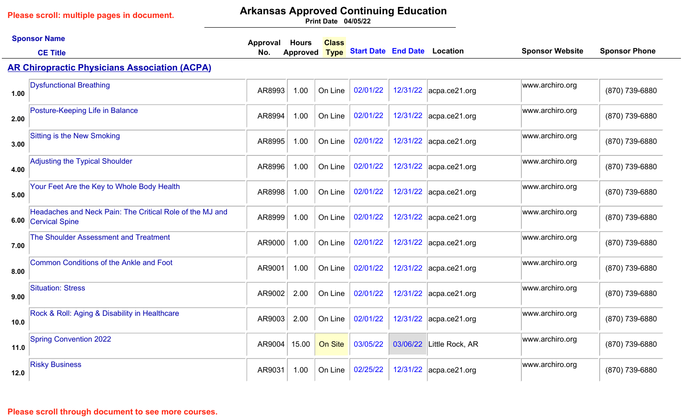# **Arkansas Approved Continuing Education**

**04/05/22 Print Date**

|      | <b>Sponsor Name</b>                                                             | Approval | <b>Hours</b> | <b>Class</b> |                                     |          |                        |                        |                      |
|------|---------------------------------------------------------------------------------|----------|--------------|--------------|-------------------------------------|----------|------------------------|------------------------|----------------------|
|      | <b>CE Title</b>                                                                 | No.      | Approved     | <b>Type</b>  | <b>Start Date End Date Location</b> |          |                        | <b>Sponsor Website</b> | <b>Sponsor Phone</b> |
|      | <b>AR Chiropractic Physicians Association (ACPA)</b>                            |          |              |              |                                     |          |                        |                        |                      |
| 1.00 | <b>Dysfunctional Breathing</b>                                                  | AR8993   | 1.00         | On Line      | 02/01/22                            | 12/31/22 | $ acpa-ce21.org$       | www.archiro.org        | (870) 739-6880       |
| 2.00 | Posture-Keeping Life in Balance                                                 | AR8994   | 1.00         | On Line      | 02/01/22                            |          | 12/31/22 acpa.ce21.org | www.archiro.org        | (870) 739-6880       |
| 3.00 | <b>Sitting is the New Smoking</b>                                               | AR8995   | 1.00         | On Line      | 02/01/22                            |          | 12/31/22 acpa.ce21.org | www.archiro.org        | (870) 739-6880       |
| 4.00 | <b>Adjusting the Typical Shoulder</b>                                           | AR8996   | 1.00         | On Line      | 02/01/22                            |          | 12/31/22 acpa.ce21.org | www.archiro.org        | (870) 739-6880       |
| 5.00 | Your Feet Are the Key to Whole Body Health                                      | AR8998   | 1.00         | On Line      | 02/01/22                            | 12/31/22 | $ acpa-ce21.org$       | www.archiro.org        | (870) 739-6880       |
|      | Headaches and Neck Pain: The Critical Role of the MJ and<br>6.00 Cervical Spine | AR8999   | 1.00         | On Line      | 02/01/22                            |          | 12/31/22 acpa.ce21.org | www.archiro.org        | (870) 739-6880       |
| 7.00 | <b>The Shoulder Assessment and Treatment</b>                                    | AR9000   | 1.00         | On Line      | 02/01/22                            |          | 12/31/22 acpa.ce21.org | www.archiro.org        | (870) 739-6880       |
| 8.00 | <b>Common Conditions of the Ankle and Foot</b>                                  | AR9001   | 1.00         | On Line      | 02/01/22                            |          | 12/31/22 acpa.ce21.org | www.archiro.org        | (870) 739-6880       |
| 9.00 | <b>Situation: Stress</b>                                                        | AR9002   | 2.00         | On Line      | 02/01/22                            |          | 12/31/22 acpa.ce21.org | www.archiro.org        | (870) 739-6880       |
| 10.0 | Rock & Roll: Aging & Disability in Healthcare                                   | AR9003   | 2.00         | On Line      | 02/01/22                            |          | 12/31/22 acpa.ce21.org | www.archiro.org        | (870) 739-6880       |
| 11.0 | <b>Spring Convention 2022</b>                                                   | AR9004   | 15.00        | On Site      | 03/05/22                            | 03/06/22 | Little Rock, AR        | www.archiro.org        | (870) 739-6880       |
| 12.0 | <b>Risky Business</b>                                                           | AR9031   | 1.00         | On Line      | 02/25/22                            |          | 12/31/22 acpa.ce21.org | www.archiro.org        | (870) 739-6880       |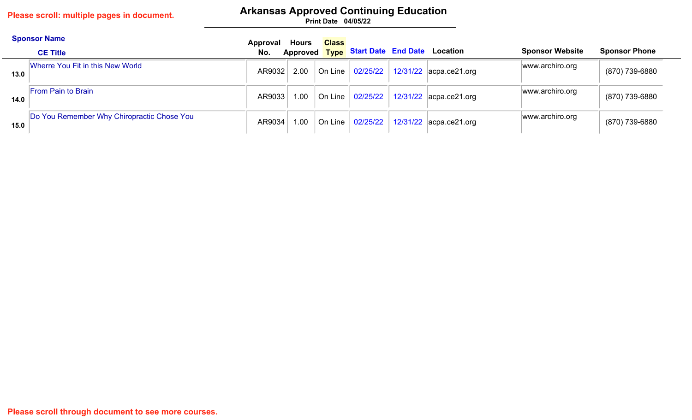## **Arkansas Approved Continuing Education**

|      | <b>Sponsor Name</b><br><b>CE Title</b>     | Approval<br>No. | <b>Hours</b> | <b>Class</b> |                             | Approved Type Start Date End Date Location                      | <b>Sponsor Website</b> | <b>Sponsor Phone</b> |
|------|--------------------------------------------|-----------------|--------------|--------------|-----------------------------|-----------------------------------------------------------------|------------------------|----------------------|
| 13.0 | Wherre You Fit in this New World           | AR9032          |              |              | 2.00   On Line   $02/25/22$ | $12/31/22$ acpa.ce21.org                                        | www.archiro.org        | (870) 739-6880       |
| 14.0 | <b>From Pain to Brain</b>                  | AR9033          |              |              | 1.00   On Line   02/25/22   | $\vert$ 12/31/22 $\vert$ acpa.ce21.org                          | www.archiro.org        | (870) 739-6880       |
| 15.0 | Do You Remember Why Chiropractic Chose You | AR9034          | $1.00 +$     |              |                             | On Line $\vert$ 02/25/22 $\vert$ 12/31/22 $\vert$ acpa.ce21.org | www.archiro.org        | (870) 739-6880       |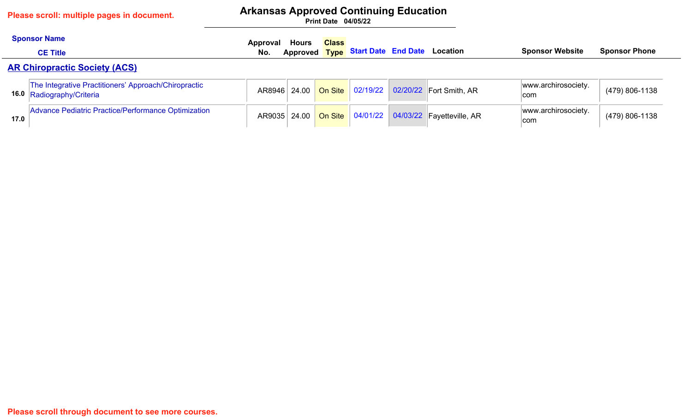### **Arkansas Approved Continuing Education**

|      | <b>Sponsor Name</b>                                                               | Approval | <b>Hours</b> | <b>Class</b> |  |                                                |                            |                      |
|------|-----------------------------------------------------------------------------------|----------|--------------|--------------|--|------------------------------------------------|----------------------------|----------------------|
|      | <b>CE Title</b>                                                                   | No.      |              |              |  | Approved Type Start Date End Date Location     | <b>Sponsor Website</b>     | <b>Sponsor Phone</b> |
|      | <b>AR Chiropractic Society (ACS)</b>                                              |          |              |              |  |                                                |                            |                      |
|      | The Integrative Practitioners' Approach/Chiropractic<br>16.0 Radiography/Criteria |          | AR8946 24.00 |              |  | On Site   02/19/22   02/20/22   Fort Smith, AR | www.archirosociety.<br>com | (479) 806-1138       |
| 17.0 | Advance Pediatric Practice/Performance Optimization                               |          | AR9035 24.00 |              |  | On Site 04/01/22 04/03/22 Fayetteville, AR     | www.archirosociety.<br>com | (479) 806-1138       |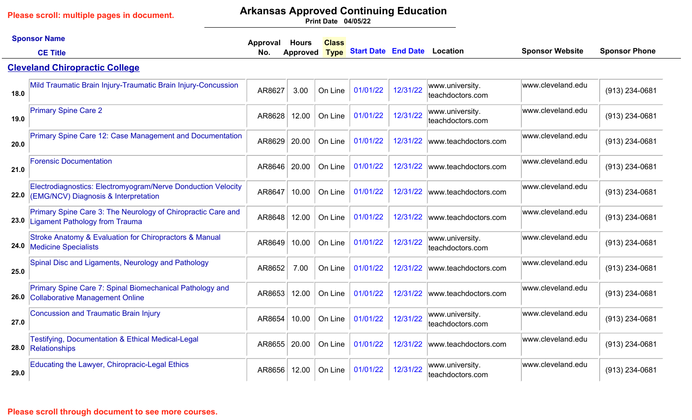# **Arkansas Approved Continuing Education**

**04/05/22 Print Date**

|      | <b>Sponsor Name</b>                                                                                  | Approval | <b>Hours</b>  | <b>Class</b> |                                     |          |                                     |                        |                      |
|------|------------------------------------------------------------------------------------------------------|----------|---------------|--------------|-------------------------------------|----------|-------------------------------------|------------------------|----------------------|
|      | <b>CE Title</b>                                                                                      | No.      | Approved Type |              | <b>Start Date End Date Location</b> |          |                                     | <b>Sponsor Website</b> | <b>Sponsor Phone</b> |
|      | <b>Cleveland Chiropractic College</b>                                                                |          |               |              |                                     |          |                                     |                        |                      |
| 18.0 | Mild Traumatic Brain Injury-Traumatic Brain Injury-Concussion                                        | AR8627   | 3.00          | On Line      | 01/01/22                            | 12/31/22 | www.university.<br>teachdoctors.com | www.cleveland.edu      | (913) 234-0681       |
| 19.0 | <b>Primary Spine Care 2</b>                                                                          | AR8628   | 12.00         | On Line      | 01/01/22                            | 12/31/22 | www.university.<br>teachdoctors.com | www.cleveland.edu      | (913) 234-0681       |
| 20.0 | Primary Spine Care 12: Case Management and Documentation                                             | AR8629   | 20.00         | On Line      | 01/01/22                            | 12/31/22 | www.teachdoctors.com                | www.cleveland.edu      | (913) 234-0681       |
| 21.0 | <b>Forensic Documentation</b>                                                                        | AR8646   | 20.00         | On Line      | 01/01/22                            | 12/31/22 | www.teachdoctors.com                | www.cleveland.edu      | (913) 234-0681       |
| 22.0 | Electrodiagnostics: Electromyogram/Nerve Donduction Velocity<br>(EMG/NCV) Diagnosis & Interpretation | AR8647   | 10.00         | On Line      | 01/01/22                            | 12/31/22 | www.teachdoctors.com                | www.cleveland.edu      | (913) 234-0681       |
|      | Primary Spine Care 3: The Neurology of Chiropractic Care and<br>23.0 Ligament Pathology from Trauma  | AR8648   | 12.00         | On Line      | 01/01/22                            | 12/31/22 | www.teachdoctors.com                | www.cleveland.edu      | (913) 234-0681       |
|      | Stroke Anatomy & Evaluation for Chiropractors & Manual<br>24.0 Medicine Specialists                  | AR8649   | 10.00         | On Line      | 01/01/22                            | 12/31/22 | www.university.<br>teachdoctors.com | www.cleveland.edu      | (913) 234-0681       |
| 25.0 | Spinal Disc and Ligaments, Neurology and Pathology                                                   | AR8652   | 7.00          | On Line      | 01/01/22                            | 12/31/22 | www.teachdoctors.com                | www.cleveland.edu      | $(913)$ 234-0681     |
|      | Primary Spine Care 7: Spinal Biomechanical Pathology and<br>26.0 Collaborative Management Online     | AR8653   | 12.00         | On Line      | 01/01/22                            | 12/31/22 | www.teachdoctors.com                | www.cleveland.edu      | (913) 234-0681       |
| 27.0 | <b>Concussion and Traumatic Brain Injury</b>                                                         | AR8654   | 10.00         | On Line      | 01/01/22                            | 12/31/22 | www.university.<br>teachdoctors.com | www.cleveland.edu      | $(913)$ 234-0681     |
|      | <b>Testifying, Documentation &amp; Ethical Medical-Legal</b><br>28.0 Relationships                   | AR8655   | 20.00         | On Line      | 01/01/22                            | 12/31/22 | www.teachdoctors.com                | www.cleveland.edu      | (913) 234-0681       |
| 29.0 | Educating the Lawyer, Chiropracic-Legal Ethics                                                       | AR8656   | 12.00         | On Line      | 01/01/22                            | 12/31/22 | www.university.<br>teachdoctors.com | www.cleveland.edu      | $(913)$ 234-0681     |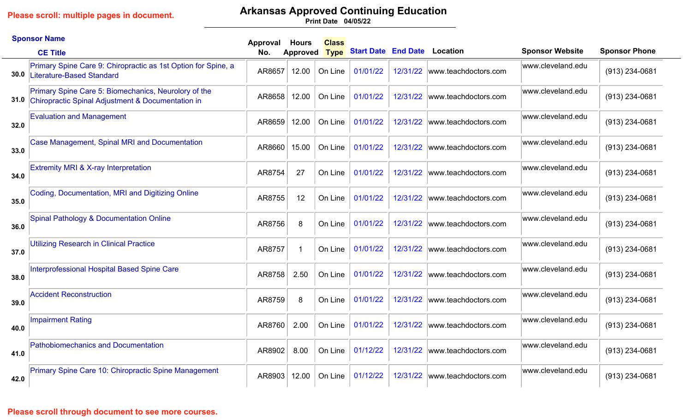# **Arkansas Approved Continuing Education**

**04/05/22 Print Date**

|      | <b>Sponsor Name</b>                                                                                            | Approval | <b>Hours</b>    | <b>Class</b> |                            |          |                      |                        |                      |
|------|----------------------------------------------------------------------------------------------------------------|----------|-----------------|--------------|----------------------------|----------|----------------------|------------------------|----------------------|
|      | <b>CE Title</b>                                                                                                | No.      | <b>Approved</b> | <b>Type</b>  | <b>Start Date End Date</b> |          | <b>Location</b>      | <b>Sponsor Website</b> | <b>Sponsor Phone</b> |
| 30.0 | Primary Spine Care 9: Chiropractic as 1st Option for Spine, a<br>Literature-Based Standard                     | AR8657   | 12.00           | On Line      | 01/01/22                   | 12/31/22 | www.teachdoctors.com | www.cleveland.edu      | (913) 234-0681       |
|      | Primary Spine Care 5: Biomechanics, Neurolory of the<br>31.0 Chiropractic Spinal Adjustment & Documentation in | AR8658   | 12.00           | On Line      | 01/01/22                   | 12/31/22 | www.teachdoctors.com | www.cleveland.edu      | (913) 234-0681       |
| 32.0 | <b>Evaluation and Management</b>                                                                               | AR8659   | 12.00           | On Line      | 01/01/22                   | 12/31/22 | www.teachdoctors.com | www.cleveland.edu      | (913) 234-0681       |
| 33.0 | <b>Case Management, Spinal MRI and Documentation</b>                                                           | AR8660   | 15.00           | On Line      | 01/01/22                   | 12/31/22 | www.teachdoctors.com | www.cleveland.edu      | (913) 234-0681       |
| 34.0 | <b>Extremity MRI &amp; X-ray Interpretation</b>                                                                | AR8754   | 27              | On Line      | 01/01/22                   | 12/31/22 | www.teachdoctors.com | www.cleveland.edu      | (913) 234-0681       |
| 35.0 | Coding, Documentation, MRI and Digitizing Online                                                               | AR8755   | 12              | On Line      | 01/01/22                   | 12/31/22 | www.teachdoctors.com | www.cleveland.edu      | $(913)$ 234-0681     |
| 36.0 | <b>Spinal Pathology &amp; Documentation Online</b>                                                             | AR8756   | 8               | On Line      | 01/01/22                   | 12/31/22 | www.teachdoctors.com | www.cleveland.edu      | (913) 234-0681       |
| 37.0 | Utilizing Research in Clinical Practice                                                                        | AR8757   | -1              | On Line      | 01/01/22                   | 12/31/22 | www.teachdoctors.com | www.cleveland.edu      | $(913)$ 234-0681     |
| 38.0 | Interprofessional Hospital Based Spine Care                                                                    | AR8758   | 2.50            | On Line      | 01/01/22                   | 12/31/22 | www.teachdoctors.com | www.cleveland.edu      | (913) 234-0681       |
| 39.0 | <b>Accident Reconstruction</b>                                                                                 | AR8759   | 8               | On Line      | 01/01/22                   | 12/31/22 | www.teachdoctors.com | www.cleveland.edu      | (913) 234-0681       |
| 40.0 | <b>Impairment Rating</b>                                                                                       | AR8760   | 2.00            | On Line      | 01/01/22                   | 12/31/22 | www.teachdoctors.com | www.cleveland.edu      | (913) 234-0681       |
| 41.0 | <b>Pathobiomechanics and Documentation</b>                                                                     | AR8902   | 8.00            | On Line      | 01/12/22                   | 12/31/22 | www.teachdoctors.com | www.cleveland.edu      | (913) 234-0681       |
| 42.0 | Primary Spine Care 10: Chiropractic Spine Management                                                           | AR8903   | 12.00           | On Line      | 01/12/22                   | 12/31/22 | www.teachdoctors.com | www.cleveland.edu      | (913) 234-0681       |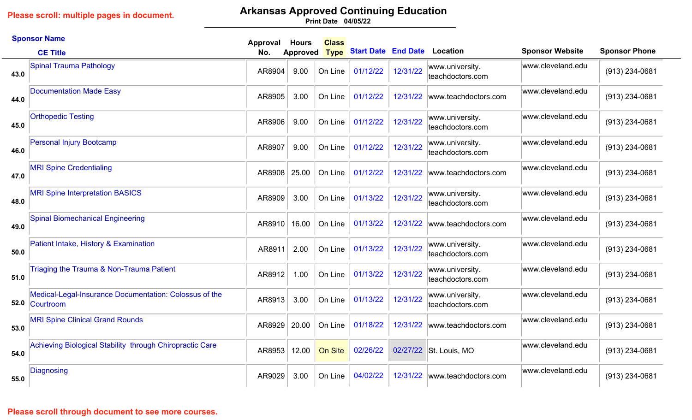# **Arkansas Approved Continuing Education**

|      | <b>Sponsor Name</b>                                                      | <b>Approval</b> | <b>Hours</b>    | <b>Class</b> |                            |          |                                     |                        |                      |
|------|--------------------------------------------------------------------------|-----------------|-----------------|--------------|----------------------------|----------|-------------------------------------|------------------------|----------------------|
|      | <b>CE Title</b>                                                          | No.             | <b>Approved</b> | <b>Type</b>  | <b>Start Date End Date</b> |          | Location                            | <b>Sponsor Website</b> | <b>Sponsor Phone</b> |
| 43.0 | <b>Spinal Trauma Pathology</b>                                           | AR8904          | 9.00            | On Line      | 01/12/22                   | 12/31/22 | www.university.<br>teachdoctors.com | www.cleveland.edu      | (913) 234-0681       |
| 44.0 | <b>Documentation Made Easy</b>                                           | AR8905          | 3.00            | On Line      | 01/12/22                   | 12/31/22 | www.teachdoctors.com                | www.cleveland.edu      | (913) 234-0681       |
| 45.0 | <b>Orthopedic Testing</b>                                                | AR8906          | 9.00            | On Line      | 01/12/22                   | 12/31/22 | www.university.<br>teachdoctors.com | www.cleveland.edu      | (913) 234-0681       |
| 46.0 | <b>Personal Injury Bootcamp</b>                                          | AR8907          | 9.00            | On Line      | 01/12/22                   | 12/31/22 | www.university.<br>teachdoctors.com | www.cleveland.edu      | (913) 234-0681       |
| 47.0 | <b>MRI Spine Credentialing</b>                                           | AR8908          | 25.00           | On Line      | 01/12/22                   | 12/31/22 | www.teachdoctors.com                | www.cleveland.edu      | (913) 234-0681       |
| 48.0 | <b>MRI Spine Interpretation BASICS</b>                                   | AR8909          | 3.00            | On Line      | 01/13/22                   | 12/31/22 | www.university.<br>teachdoctors.com | www.cleveland.edu      | (913) 234-0681       |
| 49.0 | <b>Spinal Biomechanical Engineering</b>                                  | AR8910          | 16.00           | On Line      | 01/13/22                   | 12/31/22 | www.teachdoctors.com                | www.cleveland.edu      | (913) 234-0681       |
| 50.0 | Patient Intake, History & Examination                                    | AR8911          | 2.00            | On Line      | 01/13/22                   | 12/31/22 | www.university.<br>teachdoctors.com | www.cleveland.edu      | (913) 234-0681       |
| 51.0 | Triaging the Trauma & Non-Trauma Patient                                 | AR8912          | 1.00            | On Line      | 01/13/22                   | 12/31/22 | www.university.<br>teachdoctors.com | www.cleveland.edu      | (913) 234-0681       |
|      | Medical-Legal-Insurance Documentation: Colossus of the<br>52.0 Courtroom | AR8913          | 3.00            | On Line      | 01/13/22                   | 12/31/22 | www.university.<br>teachdoctors.com | www.cleveland.edu      | (913) 234-0681       |
| 53.0 | <b>MRI Spine Clinical Grand Rounds</b>                                   | AR8929          | 20.00           | On Line      | 01/18/22                   | 12/31/22 | www.teachdoctors.com                | www.cleveland.edu      | (913) 234-0681       |
| 54.0 | Achieving Biological Stability through Chiropractic Care                 | AR8953          | 12.00           | On Site      | 02/26/22                   |          | 02/27/22 St. Louis, MO              | www.cleveland.edu      | (913) 234-0681       |
| 55.0 | Diagnosing                                                               | AR9029          | 3.00            | On Line      | 04/02/22                   | 12/31/22 | www.teachdoctors.com                | www.cleveland.edu      | (913) 234-0681       |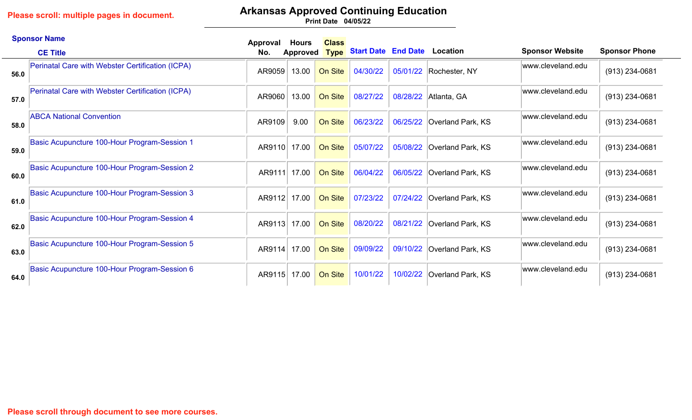# **Arkansas Approved Continuing Education**

|      | <b>Sponsor Name</b>                              | Approval | <b>Hours</b> | <b>Class</b> |                            |          |                   |                        |                      |
|------|--------------------------------------------------|----------|--------------|--------------|----------------------------|----------|-------------------|------------------------|----------------------|
|      | <b>CE Title</b>                                  | No.      | Approved     | <b>Type</b>  | <b>Start Date End Date</b> |          | Location          | <b>Sponsor Website</b> | <b>Sponsor Phone</b> |
| 56.0 | Perinatal Care with Webster Certification (ICPA) | AR9059   | 13.00        | On Site      | 04/30/22                   | 05/01/22 | Rochester, NY     | www.cleveland.edu      | (913) 234-0681       |
| 57.0 | Perinatal Care with Webster Certification (ICPA) | AR9060   | 13.00        | On Site      | 08/27/22                   | 08/28/22 | Atlanta, GA       | www.cleveland.edu      | (913) 234-0681       |
| 58.0 | <b>ABCA National Convention</b>                  | AR9109   | 9.00         | On Site      | 06/23/22                   | 06/25/22 | Overland Park, KS | www.cleveland.edu      | $(913)$ 234-0681     |
| 59.0 | Basic Acupuncture 100-Hour Program-Session 1     | AR9110   | 17.00        | On Site      | 05/07/22                   | 05/08/22 | Overland Park, KS | www.cleveland.edu      | $(913)$ 234-0681     |
| 60.0 | Basic Acupuncture 100-Hour Program-Session 2     | AR9111   | 17.00        | On Site      | 06/04/22                   | 06/05/22 | Overland Park, KS | www.cleveland.edu      | $(913)$ 234-0681     |
| 61.0 | Basic Acupuncture 100-Hour Program-Session 3     | AR9112   | 17.00        | On Site      | 07/23/22                   | 07/24/22 | Overland Park, KS | www.cleveland.edu      | (913) 234-0681       |
| 62.0 | Basic Acupuncture 100-Hour Program-Session 4     | AR9113   | 17.00        | On Site      | 08/20/22                   | 08/21/22 | Overland Park, KS | www.cleveland.edu      | $(913)$ 234-0681     |
| 63.0 | Basic Acupuncture 100-Hour Program-Session 5     | AR9114   | 17.00        | On Site      | 09/09/22                   | 09/10/22 | Overland Park, KS | www.cleveland.edu      | (913) 234-0681       |
| 64.0 | Basic Acupuncture 100-Hour Program-Session 6     | AR9115   | 17.00        | On Site      | 10/01/22                   | 10/02/22 | Overland Park, KS | www.cleveland.edu      | $(913)$ 234-0681     |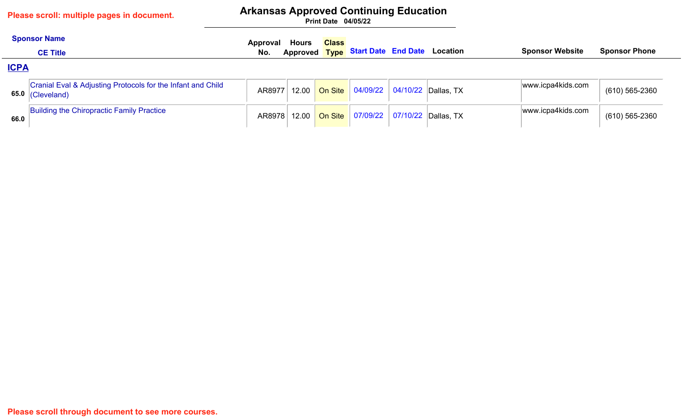**Please scroll through document to see more courses.**

## **Arkansas Approved Continuing Education**

|             | <b>Sponsor Name</b>                                                                 | Approval | Hours | <b>Class</b> |                                            |                                            |                        |                      |
|-------------|-------------------------------------------------------------------------------------|----------|-------|--------------|--------------------------------------------|--------------------------------------------|------------------------|----------------------|
|             | <b>CE Title</b>                                                                     | No.      |       |              |                                            | Approved Type Start Date End Date Location | <b>Sponsor Website</b> | <b>Sponsor Phone</b> |
| <b>ICPA</b> |                                                                                     |          |       |              |                                            |                                            |                        |                      |
|             | Cranial Eval & Adjusting Protocols for the Infant and Child<br>65.0 $ $ (Cleveland) | AR8977   |       |              | 12.00 On Site 04/09/22 04/10/22 Dallas, TX |                                            | www.icpa4kids.com      | (610) 565-2360       |
| 66.0        | Building the Chiropractic Family Practice                                           | AR8978   |       |              |                                            |                                            | www.icpa4kids.com      | (610) 565-2360       |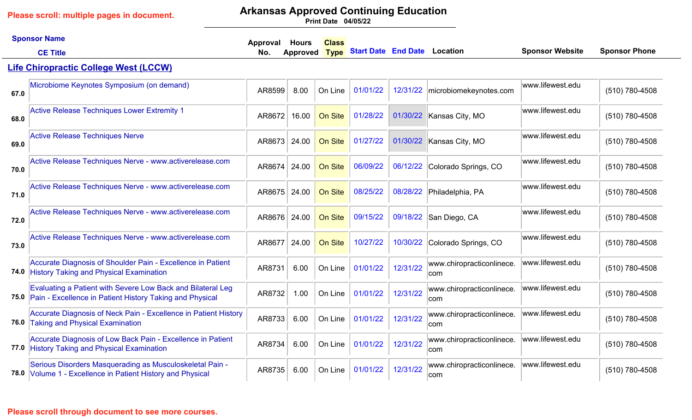# **Arkansas Approved Continuing Education**

**04/05/22 Print Date**

|      | <b>Sponsor Name</b><br><b>CE Title</b>                                                                                       | Approval<br>No. | <b>Hours</b><br><b>Approved</b> | <b>Class</b><br><b>Type</b> | <b>Start Date End Date Location</b> |          |                                   | <b>Sponsor Website</b> | <b>Sponsor Phone</b> |
|------|------------------------------------------------------------------------------------------------------------------------------|-----------------|---------------------------------|-----------------------------|-------------------------------------|----------|-----------------------------------|------------------------|----------------------|
|      | <b>Life Chiropractic College West (LCCW)</b>                                                                                 |                 |                                 |                             |                                     |          |                                   |                        |                      |
| 67.0 | Microbiome Keynotes Symposium (on demand)                                                                                    | AR8599          | 8.00                            | On Line                     | 01/01/22                            | 12/31/22 | microbiomekeynotes.com            | www.lifewest.edu       | (510) 780-4508       |
| 68.0 | <b>Active Release Techniques Lower Extremity 1</b>                                                                           | AR8672          | 16.00                           | On Site                     | 01/28/22                            |          | 01/30/22 Kansas City, MO          | www.lifewest.edu       | (510) 780-4508       |
| 69.0 | <b>Active Release Techniques Nerve</b>                                                                                       | AR8673          | 24.00                           | On Site                     | 01/27/22                            |          | 01/30/22 Kansas City, MO          | www.lifewest.edu       | (510) 780-4508       |
| 70.0 | Active Release Techniques Nerve - www.activerelease.com                                                                      | AR8674          | 24.00                           | On Site                     | 06/09/22                            | 06/12/22 | Colorado Springs, CO              | www.lifewest.edu       | (510) 780-4508       |
| 71.0 | Active Release Techniques Nerve - www.activerelease.com                                                                      | AR8675          | 24.00                           | On Site                     | 08/25/22                            |          | 08/28/22 Philadelphia, PA         | www.lifewest.edu       | (510) 780-4508       |
| 72.0 | Active Release Techniques Nerve - www.activerelease.com                                                                      | AR8676          | 24.00                           | On Site                     | 09/15/22                            |          | 09/18/22 San Diego, CA            | www.lifewest.edu       | (510) 780-4508       |
| 73.0 | Active Release Techniques Nerve - www.activerelease.com                                                                      | AR8677          | 24.00                           | On Site                     | 10/27/22                            | 10/30/22 | Colorado Springs, CO              | www.lifewest.edu       | (510) 780-4508       |
|      | Accurate Diagnosis of Shoulder Pain - Excellence in Patient<br>74.0 History Taking and Physical Examination                  | AR8731          | 6.00                            | On Line                     | 01/01/22                            | 12/31/22 | www.chiropracticonlinece.<br>com  | www.lifewest.edu       | (510) 780-4508       |
|      | Evaluating a Patient with Severe Low Back and Bilateral Leg<br>75.0 Pain - Excellence in Patient History Taking and Physical | AR8732          | 1.00                            | On Line                     | 01/01/22                            | 12/31/22 | www.chiropracticonlinece.<br>∣com | www.lifewest.edu       | (510) 780-4508       |
|      | Accurate Diagnosis of Neck Pain - Excellence in Patient History<br>76.0 Taking and Physical Examination                      | AR8733          | 6.00                            | On Line                     | 01/01/22                            | 12/31/22 | www.chiropracticonlinece.<br>com  | www.lifewest.edu       | (510) 780-4508       |
|      | Accurate Diagnosis of Low Back Pain - Excellence in Patient<br>77.0 History Taking and Physical Examination                  | AR8734          | 6.00                            | On Line                     | 01/01/22                            | 12/31/22 | www.chiropracticonlinece.<br>com  | www.lifewest.edu       | (510) 780-4508       |
|      | Serious Disorders Masquerading as Musculoskeletal Pain -<br>78.0 Volume 1 - Excellence in Patient History and Physical       | AR8735          | 6.00                            | On Line                     | 01/01/22                            | 12/31/22 | www.chiropracticonlinece.<br>com  | www.lifewest.edu       | (510) 780-4508       |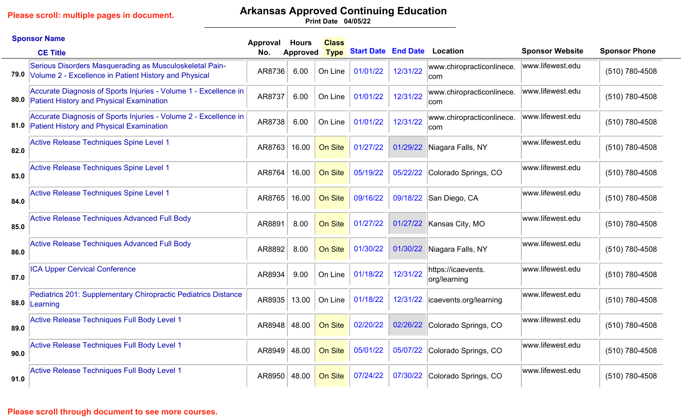# **Arkansas Approved Continuing Education**

**04/05/22 Print Date**

|      | <b>Sponsor Name</b>                                                                                                   | Approval | Hours    | <b>Class</b> |                                     |          |                                    |                        |                      |
|------|-----------------------------------------------------------------------------------------------------------------------|----------|----------|--------------|-------------------------------------|----------|------------------------------------|------------------------|----------------------|
|      | <b>CE Title</b>                                                                                                       | No.      | Approved | <b>Type</b>  | <b>Start Date End Date Location</b> |          |                                    | <b>Sponsor Website</b> | <b>Sponsor Phone</b> |
|      | Serious Disorders Masquerading as Musculoskeletal Pain-<br>79.0 Volume 2 - Excellence in Patient History and Physical | AR8736   | 6.00     | On Line      | 01/01/22                            | 12/31/22 | www.chiropracticonlinece.<br>∣com  | www.lifewest.edu       | (510) 780-4508       |
|      | Accurate Diagnosis of Sports Injuries - Volume 1 - Excellence in<br>80.0 Patient History and Physical Examination     | AR8737   | 6.00     | On Line      | 01/01/22                            | 12/31/22 | www.chiropracticonlinece.<br>com   | www.lifewest.edu       | (510) 780-4508       |
|      | Accurate Diagnosis of Sports Injuries - Volume 2 - Excellence in<br>81.0 Patient History and Physical Examination     | AR8738   | 6.00     | On Line      | 01/01/22                            | 12/31/22 | www.chiropracticonlinece.<br>com   | www.lifewest.edu       | (510) 780-4508       |
| 82.0 | <b>Active Release Techniques Spine Level 1</b>                                                                        | AR8763   | 16.00    | On Site      | 01/27/22                            | 01/29/22 | Niagara Falls, NY                  | www.lifewest.edu       | (510) 780-4508       |
| 83.0 | <b>Active Release Techniques Spine Level 1</b>                                                                        | AR8764   | 16.00    | On Site      | 05/19/22                            | 05/22/22 | Colorado Springs, CO               | www.lifewest.edu       | (510) 780-4508       |
| 84.0 | <b>Active Release Techniques Spine Level 1</b>                                                                        | AR8765   | 16.00    | On Site      | 09/16/22                            |          | 09/18/22 San Diego, CA             | www.lifewest.edu       | (510) 780-4508       |
| 85.0 | <b>Active Release Techniques Advanced Full Body</b>                                                                   | AR8891   | 8.00     | On Site      | 01/27/22                            | 01/27/22 | Kansas City, MO                    | www.lifewest.edu       | (510) 780-4508       |
| 86.0 | Active Release Techniques Advanced Full Body                                                                          | AR8892   | 8.00     | On Site      | 01/30/22                            | 01/30/22 | Niagara Falls, NY                  | www.lifewest.edu       | (510) 780-4508       |
| 87.0 | <b>ICA Upper Cervical Conference</b>                                                                                  | AR8934   | 9.00     | On Line      | 01/18/22                            | 12/31/22 | https://icaevents.<br>org/learning | www.lifewest.edu       | (510) 780-4508       |
|      | Pediatrics 201: Supplementary Chiropractic Pediatrics Distance<br>88.0 Learning                                       | AR8935   | 13.00    | On Line      | 01/18/22                            | 12/31/22 | icaevents.org/learning             | www.lifewest.edu       | (510) 780-4508       |
| 89.0 | <b>Active Release Techniques Full Body Level 1</b>                                                                    | AR8948   | 48.00    | On Site      | 02/20/22                            | 02/26/22 | Colorado Springs, CO               | www.lifewest.edu       | (510) 780-4508       |
| 90.0 | <b>Active Release Techniques Full Body Level 1</b>                                                                    | AR8949   | 48.00    | On Site      | 05/01/22                            | 05/07/22 | Colorado Springs, CO               | www.lifewest.edu       | (510) 780-4508       |
| 91.0 | <b>Active Release Techniques Full Body Level 1</b>                                                                    | AR8950   | 48.00    | On Site      | 07/24/22                            | 07/30/22 | Colorado Springs, CO               | www.lifewest.edu       | (510) 780-4508       |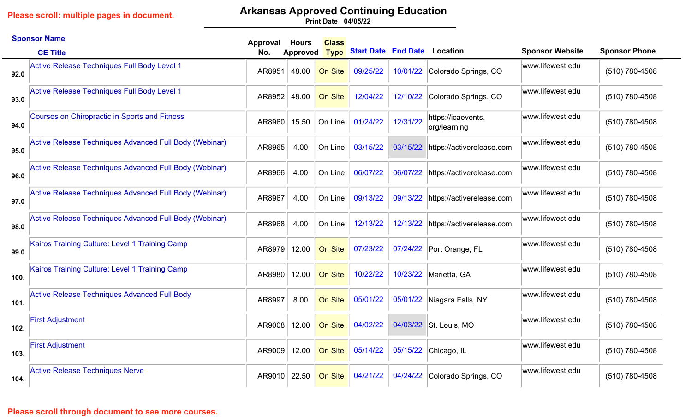# **Arkansas Approved Continuing Education**

**04/05/22 Print Date**

|      | <b>Sponsor Name</b>                                    | Approval | <b>Hours</b>    | <b>Class</b>   |                                     |          |                                    |                        |                      |
|------|--------------------------------------------------------|----------|-----------------|----------------|-------------------------------------|----------|------------------------------------|------------------------|----------------------|
|      | <b>CE Title</b>                                        | No.      | <b>Approved</b> | <b>Type</b>    | <b>Start Date End Date Location</b> |          |                                    | <b>Sponsor Website</b> | <b>Sponsor Phone</b> |
| 92.0 | Active Release Techniques Full Body Level 1            | AR8951   | 48.00           | On Site        | 09/25/22                            |          | 10/01/22 Colorado Springs, CO      | www.lifewest.edu       | (510) 780-4508       |
| 93.0 | Active Release Techniques Full Body Level 1            | AR8952   | 48.00           | On Site        | 12/04/22                            | 12/10/22 | Colorado Springs, CO               | www.lifewest.edu       | (510) 780-4508       |
| 94.0 | <b>Courses on Chiropractic in Sports and Fitness</b>   | AR8960   | 15.50           | On Line        | 01/24/22                            | 12/31/22 | https://icaevents.<br>org/learning | www.lifewest.edu       | (510) 780-4508       |
| 95.0 | Active Release Techniques Advanced Full Body (Webinar) | AR8965   | 4.00            | On Line        | 03/15/22                            | 03/15/22 | https://activerelease.com          | www.lifewest.edu       | (510) 780-4508       |
| 96.0 | Active Release Techniques Advanced Full Body (Webinar) | AR8966   | 4.00            | On Line        | 06/07/22                            | 06/07/22 | https://activerelease.com          | www.lifewest.edu       | (510) 780-4508       |
| 97.0 | Active Release Techniques Advanced Full Body (Webinar) | AR8967   | 4.00            | On Line        | 09/13/22                            | 09/13/22 | https://activerelease.com          | www.lifewest.edu       | (510) 780-4508       |
| 98.0 | Active Release Techniques Advanced Full Body (Webinar) | AR8968   | 4.00            | On Line        | 12/13/22                            |          | 12/13/22 https://activerelease.com | www.lifewest.edu       | (510) 780-4508       |
| 99.0 | Kairos Training Culture: Level 1 Training Camp         | AR8979   | 12.00           | On Site        | 07/23/22                            |          | 07/24/22 Port Orange, FL           | www.lifewest.edu       | (510) 780-4508       |
| 100. | Kairos Training Culture: Level 1 Training Camp         | AR8980   | 12.00           | On Site        | 10/22/22                            |          | 10/23/22 Marietta, GA              | www.lifewest.edu       | (510) 780-4508       |
| 101. | <b>Active Release Techniques Advanced Full Body</b>    | AR8997   | 8.00            | On Site        | 05/01/22                            |          | 05/01/22 Niagara Falls, NY         | www.lifewest.edu       | (510) 780-4508       |
| 102. | <b>First Adjustment</b>                                | AR9008   | 12.00           | On Site        | 04/02/22                            | 04/03/22 | St. Louis, MO                      | www.lifewest.edu       | (510) 780-4508       |
| 103. | <b>First Adjustment</b>                                | AR9009   | 12.00           | <b>On Site</b> | 05/14/22                            |          | 05/15/22 Chicago, IL               | www.lifewest.edu       | (510) 780-4508       |
| 104. | <b>Active Release Techniques Nerve</b>                 | AR9010   | 22.50           | On Site        | 04/21/22                            |          | 04/24/22 Colorado Springs, CO      | www.lifewest.edu       | (510) 780-4508       |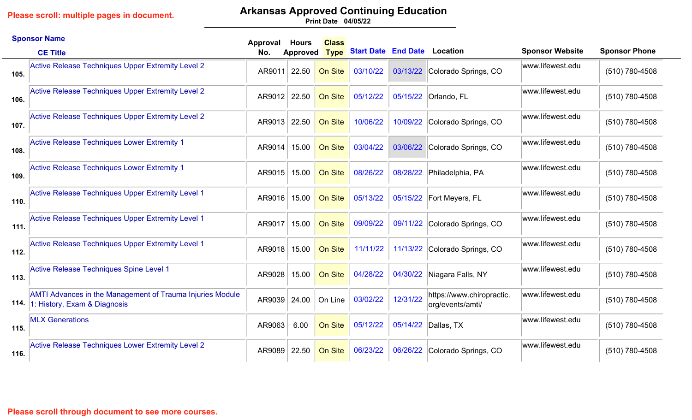# **Arkansas Approved Continuing Education**

|      | <b>Sponsor Name</b>                                                                                   | Approval | Hours           | <b>Class</b> |                                     |          |                                               |                        |                      |
|------|-------------------------------------------------------------------------------------------------------|----------|-----------------|--------------|-------------------------------------|----------|-----------------------------------------------|------------------------|----------------------|
|      | <b>CE Title</b>                                                                                       | No.      | <b>Approved</b> | <b>Type</b>  | <b>Start Date End Date Location</b> |          |                                               | <b>Sponsor Website</b> | <b>Sponsor Phone</b> |
| 105. | <b>Active Release Techniques Upper Extremity Level 2</b>                                              | AR9011   | 22.50           | On Site      | 03/10/22                            | 03/13/22 | Colorado Springs, CO                          | www.lifewest.edu       | (510) 780-4508       |
| 106. | <b>Active Release Techniques Upper Extremity Level 2</b>                                              | AR9012   | 22.50           | On Site      | 05/12/22                            |          | 05/15/22 Orlando, FL                          | www.lifewest.edu       | (510) 780-4508       |
| 107. | Active Release Techniques Upper Extremity Level 2                                                     | AR9013   | 22.50           | On Site      | 10/06/22                            | 10/09/22 | Colorado Springs, CO                          | www.lifewest.edu       | (510) 780-4508       |
| 108. | Active Release Techniques Lower Extremity 1                                                           | AR9014   | 15.00           | On Site      | 03/04/22                            | 03/06/22 | Colorado Springs, CO                          | www.lifewest.edu       | (510) 780-4508       |
| 109. | <b>Active Release Techniques Lower Extremity 1</b>                                                    | AR9015   | 15.00           | On Site      | 08/26/22                            | 08/28/22 | Philadelphia, PA                              | www.lifewest.edu       | (510) 780-4508       |
| 110. | Active Release Techniques Upper Extremity Level 1                                                     | AR9016   | 15.00           | On Site      | 05/13/22                            |          | 05/15/22 Fort Meyers, FL                      | www.lifewest.edu       | (510) 780-4508       |
| 111. | Active Release Techniques Upper Extremity Level 1                                                     | AR9017   | 15.00           | On Site      | 09/09/22                            |          | 09/11/22 Colorado Springs, CO                 | www.lifewest.edu       | (510) 780-4508       |
| 112. | Active Release Techniques Upper Extremity Level 1                                                     | AR9018   | 15.00           | On Site      | 11/11/22                            |          | 11/13/22 Colorado Springs, CO                 | www.lifewest.edu       | (510) 780-4508       |
| 113. | Active Release Techniques Spine Level 1                                                               | AR9028   | 15.00           | On Site      | 04/28/22                            | 04/30/22 | Niagara Falls, NY                             | www.lifewest.edu       | (510) 780-4508       |
|      | <b>AMTI Advances in the Management of Trauma Injuries Module</b><br>114. 1: History, Exam & Diagnosis | AR9039   | 24.00           | On Line      | 03/02/22                            | 12/31/22 | https://www.chiropractic.<br>org/events/amti/ | www.lifewest.edu       | (510) 780-4508       |
| 115. | <b>MLX Generations</b>                                                                                | AR9063   | 6.00            | On Site      | 05/12/22                            |          | 05/14/22 Dallas, TX                           | www.lifewest.edu       | (510) 780-4508       |
| 116. | <b>Active Release Techniques Lower Extremity Level 2</b>                                              | AR9089   | 22.50           | On Site      | 06/23/22                            | 06/26/22 | Colorado Springs, CO                          | www.lifewest.edu       | (510) 780-4508       |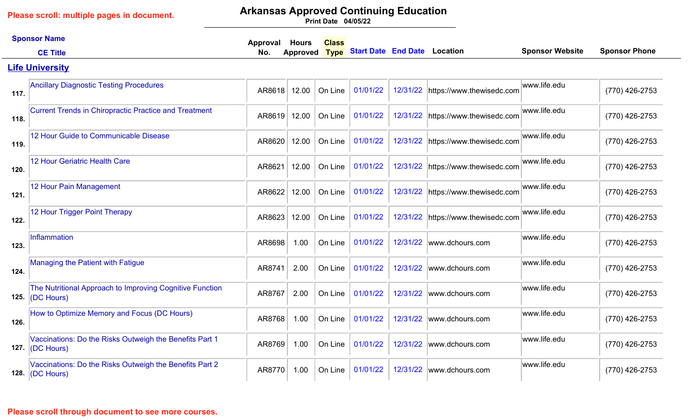# **Arkansas Approved Continuing Education**

**04/05/22 Print Date**

|      | <b>Sponsor Name</b>                                                            | Approval | <b>Hours</b> | <b>Class</b> |                                     |          |                                    |                        |                      |
|------|--------------------------------------------------------------------------------|----------|--------------|--------------|-------------------------------------|----------|------------------------------------|------------------------|----------------------|
|      | <b>CE Title</b>                                                                | No.      | Approved     | <b>Type</b>  | <b>Start Date End Date Location</b> |          |                                    | <b>Sponsor Website</b> | <b>Sponsor Phone</b> |
|      | <b>Life University</b>                                                         |          |              |              |                                     |          |                                    |                        |                      |
| 117. | <b>Ancillary Diagnostic Testing Procedures</b>                                 | AR8618   | 12.00        | On Line      | 01/01/22                            |          | 12/31/22 https://www.thewisedc.com | www.life.edu           | (770) 426-2753       |
| 118. | <b>Current Trends in Chiropractic Practice and Treatment</b>                   | AR8619   | 12.00        | On Line      | 01/01/22                            |          | 12/31/22 https://www.thewisedc.com | www.life.edu           | (770) 426-2753       |
| 119. | 12 Hour Guide to Communicable Disease                                          | AR8620   | 12.00        | On Line      | 01/01/22                            |          | 12/31/22 https://www.thewisedc.com | www.life.edu           | (770) 426-2753       |
| 120. | <b>12 Hour Geriatric Health Care</b>                                           | AR8621   | 12.00        | On Line      | 01/01/22                            |          | 12/31/22 https://www.thewisedc.com | www.life.edu           | (770) 426-2753       |
| 121. | 12 Hour Pain Management                                                        | AR8622   | 12.00        | On Line      | 01/01/22                            |          | 12/31/22 https://www.thewisedc.com | www.life.edu           | (770) 426-2753       |
| 122. | 12 Hour Trigger Point Therapy                                                  | AR8623   | 12.00        | On Line      | 01/01/22                            |          | 12/31/22 https://www.thewisedc.com | www.life.edu           | (770) 426-2753       |
| 123. | Inflammation                                                                   | AR8698   | 1.00         | On Line      | 01/01/22                            | 12/31/22 | www.dchours.com                    | www.life.edu           | (770) 426-2753       |
| 124. | Managing the Patient with Fatigue                                              | AR8741   | 2.00         | On Line      | 01/01/22                            | 12/31/22 | www.dchours.com                    | www.life.edu           | (770) 426-2753       |
| 125. | The Nutritional Approach to Improving Cognitive Function<br>(DC Hours)         | AR8767   | 2.00         | On Line      | 01/01/22                            | 12/31/22 | www.dchours.com                    | www.life.edu           | (770) 426-2753       |
| 126. | How to Optimize Memory and Focus (DC Hours)                                    | AR8768   | 1.00         | On Line      | 01/01/22                            | 12/31/22 | www.dchours.com                    | www.life.edu           | (770) 426-2753       |
| 127. | Vaccinations: Do the Risks Outweigh the Benefits Part 1<br>$ (DC$ Hours $)$    | AR8769   | 1.00         | On Line      | 01/01/22                            | 12/31/22 | www.dchours.com                    | www.life.edu           | (770) 426-2753       |
|      | Vaccinations: Do the Risks Outweigh the Benefits Part 2<br>128. $ $ (DC Hours) | AR8770   | 1.00         | On Line      | 01/01/22                            | 12/31/22 | www.dchours.com                    | www.life.edu           | (770) 426-2753       |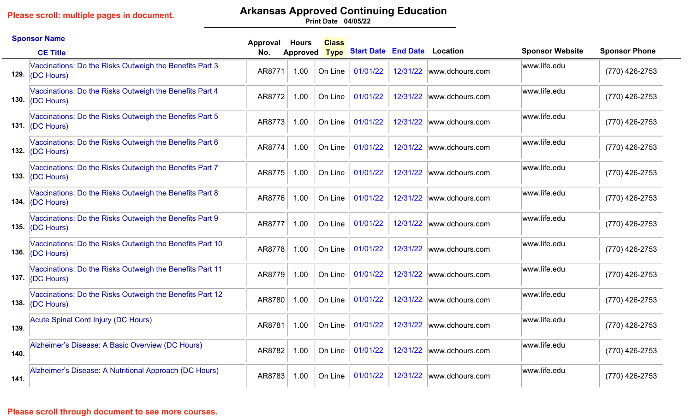# **Arkansas Approved Continuing Education**

**04/05/22 Print Date**

|      | <b>Sponsor Name</b>                                                            | Approval | <b>Hours</b>    | <b>Class</b> |                                   |          |                 |                        |                      |
|------|--------------------------------------------------------------------------------|----------|-----------------|--------------|-----------------------------------|----------|-----------------|------------------------|----------------------|
|      | <b>CE Title</b>                                                                | No.      | <b>Approved</b> |              | Type Start Date End Date Location |          |                 | <b>Sponsor Website</b> | <b>Sponsor Phone</b> |
|      | Vaccinations: Do the Risks Outweigh the Benefits Part 3<br>129. $ (DC$ Hours)  | AR8771   | 1.00            | On Line      | 01/01/22                          | 12/31/22 | www.dchours.com | www.life.edu           | (770) 426-2753       |
|      | Vaccinations: Do the Risks Outweigh the Benefits Part 4<br>130. $ (DC$ Hours)  | AR8772   | 1.00            | On Line      | 01/01/22                          | 12/31/22 | www.dchours.com | www.life.edu           | (770) 426-2753       |
|      | Vaccinations: Do the Risks Outweigh the Benefits Part 5<br>131. $ (DC$ Hours)  | AR8773   | 1.00            | On Line      | 01/01/22                          | 12/31/22 | www.dchours.com | www.life.edu           | (770) 426-2753       |
|      | Vaccinations: Do the Risks Outweigh the Benefits Part 6<br>132. $ (DC$ Hours)  | AR8774   | 1.00            | On Line      | 01/01/22                          | 12/31/22 | www.dchours.com | www.life.edu           | (770) 426-2753       |
|      | Vaccinations: Do the Risks Outweigh the Benefits Part 7<br>133. $ (DC$ Hours)  | AR8775   | 1.00            | On Line      | 01/01/22                          | 12/31/22 | www.dchours.com | www.life.edu           | (770) 426-2753       |
|      | Vaccinations: Do the Risks Outweigh the Benefits Part 8<br>134. $ (DC$ Hours)  | AR8776   | 1.00            | On Line      | 01/01/22                          | 12/31/22 | www.dchours.com | www.life.edu           | (770) 426-2753       |
|      | Vaccinations: Do the Risks Outweigh the Benefits Part 9<br>135. $ (DC$ Hours)  | AR8777   | 1.00            | On Line      | 01/01/22                          | 12/31/22 | www.dchours.com | www.life.edu           | (770) 426-2753       |
|      | Vaccinations: Do the Risks Outweigh the Benefits Part 10<br>136. $ (DC$ Hours) | AR8778   | 1.00            | On Line      | 01/01/22                          | 12/31/22 | www.dchours.com | www.life.edu           | (770) 426-2753       |
|      | Vaccinations: Do the Risks Outweigh the Benefits Part 11<br>137. $ (DC$ Hours) | AR8779   | 1.00            | On Line      | 01/01/22                          | 12/31/22 | www.dchours.com | www.life.edu           | (770) 426-2753       |
|      | Vaccinations: Do the Risks Outweigh the Benefits Part 12<br>138. $ (DC$ Hours) | AR8780   | 1.00            | On Line      | 01/01/22                          | 12/31/22 | www.dchours.com | www.life.edu           | (770) 426-2753       |
| 139. | <b>Acute Spinal Cord Injury (DC Hours)</b>                                     | AR8781   | 1.00            | On Line      | 01/01/22                          | 12/31/22 | www.dchours.com | www.life.edu           | (770) 426-2753       |
| 140. | Alzheimer's Disease: A Basic Overview (DC Hours)                               | AR8782   | 1.00            | On Line      | 01/01/22                          | 12/31/22 | www.dchours.com | www.life.edu           | (770) 426-2753       |
| 141. | Alzheimer's Disease: A Nutritional Approach (DC Hours)                         | AR8783   | 1.00            | On Line      | 01/01/22                          | 12/31/22 | www.dchours.com | www.life.edu           | (770) 426-2753       |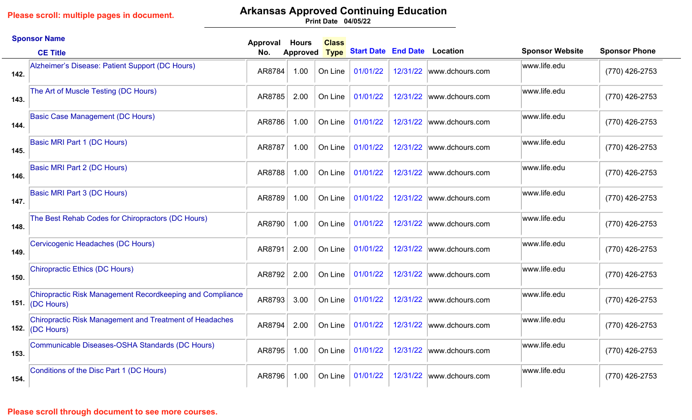# **Arkansas Approved Continuing Education**

**04/05/22 Print Date**

|      | <b>Sponsor Name</b>                                                                         | Approval | <b>Hours</b>    | <b>Class</b> |                                     |          |                 |                        |                      |
|------|---------------------------------------------------------------------------------------------|----------|-----------------|--------------|-------------------------------------|----------|-----------------|------------------------|----------------------|
|      | <b>CE Title</b>                                                                             | No.      | <b>Approved</b> | <b>Type</b>  | <b>Start Date End Date Location</b> |          |                 | <b>Sponsor Website</b> | <b>Sponsor Phone</b> |
| 142. | Alzheimer's Disease: Patient Support (DC Hours)                                             | AR8784   | 1.00            | On Line      | 01/01/22                            | 12/31/22 | www.dchours.com | www.life.edu           | (770) 426-2753       |
| 143. | The Art of Muscle Testing (DC Hours)                                                        | AR8785   | 2.00            | On Line      | 01/01/22                            | 12/31/22 | www.dchours.com | www.life.edu           | (770) 426-2753       |
| 144. | <b>Basic Case Management (DC Hours)</b>                                                     | AR8786   | 1.00            | On Line      | 01/01/22                            | 12/31/22 | www.dchours.com | www.life.edu           | (770) 426-2753       |
| 145. | Basic MRI Part 1 (DC Hours)                                                                 | AR8787   | 1.00            | On Line      | 01/01/22                            | 12/31/22 | www.dchours.com | www.life.edu           | (770) 426-2753       |
| 146. | <b>Basic MRI Part 2 (DC Hours)</b>                                                          | AR8788   | 1.00            | On Line      | 01/01/22                            | 12/31/22 | www.dchours.com | www.life.edu           | (770) 426-2753       |
| 147. | Basic MRI Part 3 (DC Hours)                                                                 | AR8789   | 1.00            | On Line      | 01/01/22                            | 12/31/22 | www.dchours.com | www.life.edu           | (770) 426-2753       |
| 148. | The Best Rehab Codes for Chiropractors (DC Hours)                                           | AR8790   | 1.00            | On Line      | 01/01/22                            | 12/31/22 | www.dchours.com | www.life.edu           | (770) 426-2753       |
| 149. | Cervicogenic Headaches (DC Hours)                                                           | AR8791   | 2.00            | On Line      | 01/01/22                            | 12/31/22 | www.dchours.com | www.life.edu           | (770) 426-2753       |
| 150. | Chiropractic Ethics (DC Hours)                                                              | AR8792   | 2.00            | On Line      | 01/01/22                            | 12/31/22 | www.dchours.com | www.life.edu           | (770) 426-2753       |
|      | <b>Chiropractic Risk Management Recordkeeping and Compliance</b><br>151. $\vert$ (DC Hours) | AR8793   | 3.00            | On Line      | 01/01/22                            | 12/31/22 | www.dchours.com | www.life.edu           | (770) 426-2753       |
| 152. | <b>Chiropractic Risk Management and Treatment of Headaches</b><br>(DC Hours)                | AR8794   | 2.00            | On Line      | 01/01/22                            | 12/31/22 | www.dchours.com | www.life.edu           | (770) 426-2753       |
| 153. | Communicable Diseases-OSHA Standards (DC Hours)                                             | AR8795   | 1.00            | On Line      | 01/01/22                            | 12/31/22 | www.dchours.com | www.life.edu           | (770) 426-2753       |
| 154. | Conditions of the Disc Part 1 (DC Hours)                                                    | AR8796   | 1.00            | On Line      | 01/01/22                            | 12/31/22 | www.dchours.com | www.life.edu           | (770) 426-2753       |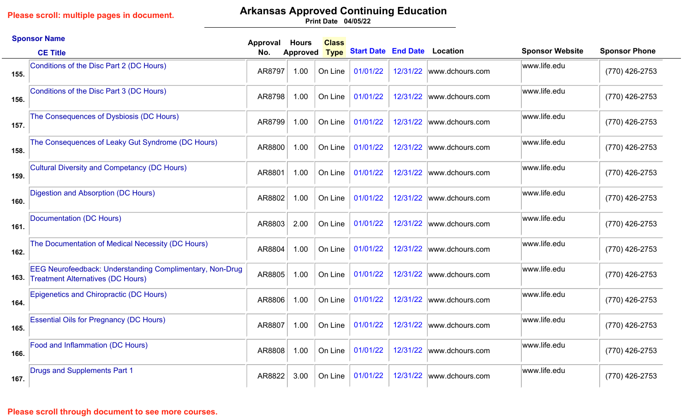# **Arkansas Approved Continuing Education**

**04/05/22 Print Date**

|      | <b>Sponsor Name</b>                                                                                         | Approval | <b>Hours</b>    | <b>Class</b> |                                     |          |                 |                        |                      |
|------|-------------------------------------------------------------------------------------------------------------|----------|-----------------|--------------|-------------------------------------|----------|-----------------|------------------------|----------------------|
|      | <b>CE Title</b>                                                                                             | No.      | <b>Approved</b> | <b>Type</b>  | <b>Start Date End Date Location</b> |          |                 | <b>Sponsor Website</b> | <b>Sponsor Phone</b> |
| 155. | Conditions of the Disc Part 2 (DC Hours)                                                                    | AR8797   | 1.00            | On Line      | 01/01/22                            | 12/31/22 | www.dchours.com | www.life.edu           | (770) 426-2753       |
| 156. | Conditions of the Disc Part 3 (DC Hours)                                                                    | AR8798   | 1.00            | On Line      | 01/01/22                            | 12/31/22 | www.dchours.com | www.life.edu           | (770) 426-2753       |
| 157. | The Consequences of Dysbiosis (DC Hours)                                                                    | AR8799   | 1.00            | On Line      | 01/01/22                            | 12/31/22 | www.dchours.com | www.life.edu           | (770) 426-2753       |
| 158. | The Consequences of Leaky Gut Syndrome (DC Hours)                                                           | AR8800   | 1.00            | On Line      | 01/01/22                            | 12/31/22 | www.dchours.com | www.life.edu           | (770) 426-2753       |
| 159. | <b>Cultural Diversity and Competancy (DC Hours)</b>                                                         | AR8801   | 1.00            | On Line      | 01/01/22                            | 12/31/22 | www.dchours.com | www.life.edu           | (770) 426-2753       |
| 160. | Digestion and Absorption (DC Hours)                                                                         | AR8802   | 1.00            | On Line      | 01/01/22                            | 12/31/22 | www.dchours.com | www.life.edu           | (770) 426-2753       |
| 161. | Documentation (DC Hours)                                                                                    | AR8803   | 2.00            | On Line      | 01/01/22                            | 12/31/22 | www.dchours.com | www.life.edu           | (770) 426-2753       |
| 162. | The Documentation of Medical Necessity (DC Hours)                                                           | AR8804   | 1.00            | On Line      | 01/01/22                            | 12/31/22 | www.dchours.com | www.life.edu           | (770) 426-2753       |
| 163. | <b>EEG Neurofeedback: Understanding Complimentary, Non-Drug</b><br><b>Treatment Alternatives (DC Hours)</b> | AR8805   | 1.00            | On Line      | 01/01/22                            | 12/31/22 | www.dchours.com | www.life.edu           | (770) 426-2753       |
| 164. | <b>Epigenetics and Chiropractic (DC Hours)</b>                                                              | AR8806   | 1.00            | On Line      | 01/01/22                            | 12/31/22 | www.dchours.com | www.life.edu           | (770) 426-2753       |
| 165. | <b>Essential Oils for Pregnancy (DC Hours)</b>                                                              | AR8807   | 1.00            | On Line      | 01/01/22                            | 12/31/22 | www.dchours.com | www.life.edu           | (770) 426-2753       |
| 166. | Food and Inflammation (DC Hours)                                                                            | AR8808   | 1.00            | On Line      | 01/01/22                            | 12/31/22 | www.dchours.com | www.life.edu           | (770) 426-2753       |
| 167. | <b>Drugs and Supplements Part 1</b>                                                                         | AR8822   | 3.00            | On Line      | 01/01/22                            | 12/31/22 | www.dchours.com | www.life.edu           | (770) 426-2753       |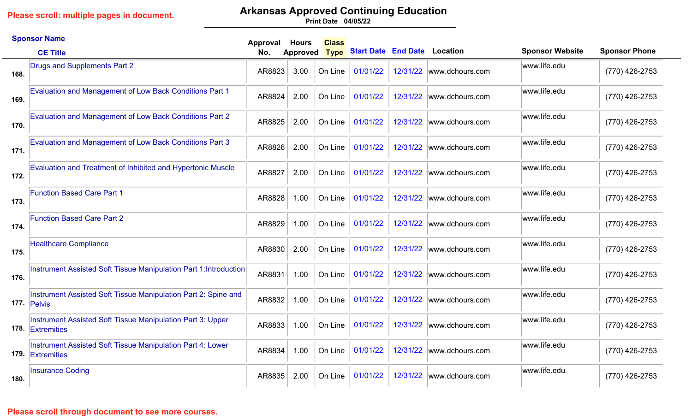# **Arkansas Approved Continuing Education**

**04/05/22 Print Date**

|      | <b>Sponsor Name</b>                                                            | Approval | <b>Hours</b>    | <b>Class</b> |                                     |          |                           |                        |                      |
|------|--------------------------------------------------------------------------------|----------|-----------------|--------------|-------------------------------------|----------|---------------------------|------------------------|----------------------|
|      | <b>CE Title</b>                                                                | No.      | <b>Approved</b> | <b>Type</b>  | <b>Start Date End Date Location</b> |          |                           | <b>Sponsor Website</b> | <b>Sponsor Phone</b> |
| 168. | Drugs and Supplements Part 2                                                   | AR8823   | 3.00            | On Line      | 01/01/22                            |          | 12/31/22 www.dchours.com  | www.life.edu           | (770) 426-2753       |
| 169. | Evaluation and Management of Low Back Conditions Part 1                        | AR8824   | 2.00            | On Line      | 01/01/22                            | 12/31/22 | www.dchours.com           | www.life.edu           | (770) 426-2753       |
| 170. | <b>Evaluation and Management of Low Back Conditions Part 2</b>                 | AR8825   | 2.00            | On Line      | 01/01/22                            | 12/31/22 | www.dchours.com           | www.life.edu           | (770) 426-2753       |
| 171. | <b>Evaluation and Management of Low Back Conditions Part 3</b>                 | AR8826   | 2.00            | On Line      | 01/01/22                            |          | 12/31/22 www.dchours.com  | www.life.edu           | (770) 426-2753       |
| 172. | <b>Evaluation and Treatment of Inhibited and Hypertonic Muscle</b>             | AR8827   | 2.00            | On Line      | 01/01/22                            | 12/31/22 | www.dchours.com           | www.life.edu           | (770) 426-2753       |
| 173. | <b>Function Based Care Part 1</b>                                              | AR8828   | 1.00            | On Line      | 01/01/22                            | 12/31/22 | www.dchours.com           | www.life.edu           | (770) 426-2753       |
| 174. | <b>Function Based Care Part 2</b>                                              | AR8829   | 1.00            | On Line      | 01/01/22                            |          | 12/31/22  www.dchours.com | www.life.edu           | (770) 426-2753       |
| 175. | <b>Healthcare Compliance</b>                                                   | AR8830   | 2.00            | On Line      | 01/01/22                            |          | 12/31/22 www.dchours.com  | www.life.edu           | (770) 426-2753       |
| 176. | Instrument Assisted Soft Tissue Manipulation Part 1: Introduction              | AR8831   | 1.00            | On Line      | 01/01/22                            | 12/31/22 | www.dchours.com           | www.life.edu           | (770) 426-2753       |
|      | Instrument Assisted Soft Tissue Manipulation Part 2: Spine and<br>177. Pelvis  | AR8832   | 1.00            | On Line      | 01/01/22                            | 12/31/22 | www.dchours.com           | www.life.edu           | (770) 426-2753       |
|      | Instrument Assisted Soft Tissue Manipulation Part 3: Upper<br>178. Extremities | AR8833   | 1.00            | On Line      | 01/01/22                            | 12/31/22 | www.dchours.com           | www.life.edu           | (770) 426-2753       |
|      | Instrument Assisted Soft Tissue Manipulation Part 4: Lower<br>179 Extremities  | AR8834   | 1.00            | On Line      | 01/01/22                            |          | 12/31/22 www.dchours.com  | www.life.edu           | (770) 426-2753       |
| 180. | <b>Insurance Coding</b>                                                        | AR8835   | 2.00            | On Line      | 01/01/22                            | 12/31/22 | www.dchours.com           | www.life.edu           | (770) 426-2753       |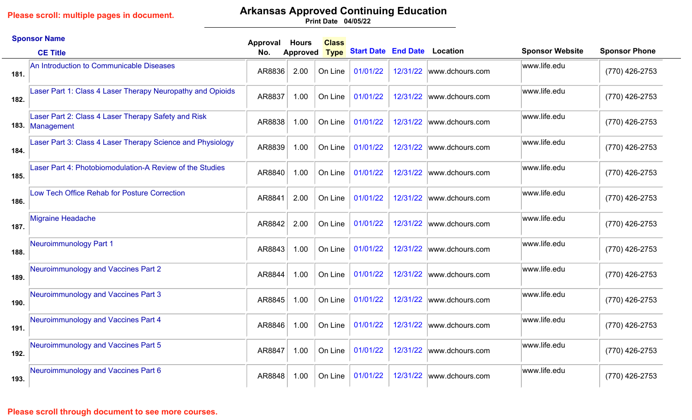# **Arkansas Approved Continuing Education**

**04/05/22 Print Date**

|      | <b>Sponsor Name</b>                                                    | Approval | <b>Hours</b>    | <b>Class</b> |                                     |          |                           |                        |                      |
|------|------------------------------------------------------------------------|----------|-----------------|--------------|-------------------------------------|----------|---------------------------|------------------------|----------------------|
|      | <b>CE Title</b>                                                        | No.      | <b>Approved</b> | <b>Type</b>  | <b>Start Date End Date Location</b> |          |                           | <b>Sponsor Website</b> | <b>Sponsor Phone</b> |
| 181. | An Introduction to Communicable Diseases                               | AR8836   | 2.00            | On Line      | 01/01/22                            |          | 12/31/22 www.dchours.com  | www.life.edu           | (770) 426-2753       |
| 182. | Laser Part 1: Class 4 Laser Therapy Neuropathy and Opioids             | AR8837   | 1.00            | On Line      | 01/01/22                            | 12/31/22 | www.dchours.com           | www.life.edu           | (770) 426-2753       |
|      | Laser Part 2: Class 4 Laser Therapy Safety and Risk<br>183. Management | AR8838   | 1.00            | On Line      | 01/01/22                            | 12/31/22 | www.dchours.com           | www.life.edu           | (770) 426-2753       |
| 184. | Laser Part 3: Class 4 Laser Therapy Science and Physiology             | AR8839   | 1.00            | On Line      | 01/01/22                            |          | 12/31/22 www.dchours.com  | www.life.edu           | (770) 426-2753       |
| 185. | Laser Part 4: Photobiomodulation-A Review of the Studies               | AR8840   | 1.00            | On Line      | 01/01/22                            | 12/31/22 | www.dchours.com           | www.life.edu           | (770) 426-2753       |
| 186. | Low Tech Office Rehab for Posture Correction                           | AR8841   | 2.00            | On Line      | 01/01/22                            | 12/31/22 | www.dchours.com           | www.life.edu           | (770) 426-2753       |
| 187. | Migraine Headache                                                      | AR8842   | 2.00            | On Line      | 01/01/22                            | 12/31/22 | www.dchours.com           | www.life.edu           | (770) 426-2753       |
| 188. | Neuroimmunology Part 1                                                 | AR8843   | 1.00            | On Line      | 01/01/22                            |          | 12/31/22 www.dchours.com  | www.life.edu           | (770) 426-2753       |
| 189. | Neuroimmunology and Vaccines Part 2                                    | AR8844   | 1.00            | On Line      | 01/01/22                            | 12/31/22 | www.dchours.com           | www.life.edu           | (770) 426-2753       |
| 190. | Neuroimmunology and Vaccines Part 3                                    | AR8845   | 1.00            | On Line      | 01/01/22                            | 12/31/22 | www.dchours.com           | www.life.edu           | (770) 426-2753       |
| 191. | Neuroimmunology and Vaccines Part 4                                    | AR8846   | 1.00            | On Line      | 01/01/22                            | 12/31/22 | www.dchours.com           | www.life.edu           | (770) 426-2753       |
| 192. | Neuroimmunology and Vaccines Part 5                                    | AR8847   | 1.00            | On Line      | 01/01/22                            |          | 12/31/22  www.dchours.com | www.life.edu           | (770) 426-2753       |
| 193. | Neuroimmunology and Vaccines Part 6                                    | AR8848   | 1.00            | On Line      | 01/01/22                            | 12/31/22 | www.dchours.com           | www.life.edu           | (770) 426-2753       |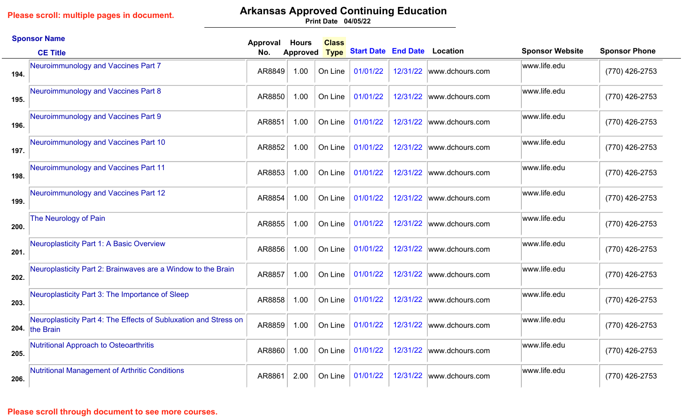# **Arkansas Approved Continuing Education**

**04/05/22 Print Date**

|      | <b>Sponsor Name</b>                                                                | Approval | <b>Hours</b>    | <b>Class</b> |                                     |          |                           |                        |                      |
|------|------------------------------------------------------------------------------------|----------|-----------------|--------------|-------------------------------------|----------|---------------------------|------------------------|----------------------|
|      | <b>CE Title</b>                                                                    | No.      | <b>Approved</b> | <b>Type</b>  | <b>Start Date End Date Location</b> |          |                           | <b>Sponsor Website</b> | <b>Sponsor Phone</b> |
| 194. | Neuroimmunology and Vaccines Part 7                                                | AR8849   | 1.00            | On Line      | 01/01/22                            |          | 12/31/22 www.dchours.com  | www.life.edu           | (770) 426-2753       |
| 195. | Neuroimmunology and Vaccines Part 8                                                | AR8850   | 1.00            | On Line      | 01/01/22                            | 12/31/22 | www.dchours.com           | www.life.edu           | (770) 426-2753       |
| 196. | Neuroimmunology and Vaccines Part 9                                                | AR8851   | 1.00            | On Line      | 01/01/22                            | 12/31/22 | www.dchours.com           | www.life.edu           | (770) 426-2753       |
| 197. | Neuroimmunology and Vaccines Part 10                                               | AR8852   | 1.00            | On Line      | 01/01/22                            |          | 12/31/22 www.dchours.com  | www.life.edu           | (770) 426-2753       |
| 198. | Neuroimmunology and Vaccines Part 11                                               | AR8853   | 1.00            | On Line      | 01/01/22                            | 12/31/22 | www.dchours.com           | www.life.edu           | (770) 426-2753       |
| 199. | Neuroimmunology and Vaccines Part 12                                               | AR8854   | 1.00            | On Line      | 01/01/22                            | 12/31/22 | www.dchours.com           | www.life.edu           | (770) 426-2753       |
| 200. | The Neurology of Pain                                                              | AR8855   | 1.00            | On Line      | 01/01/22                            |          | 12/31/22  www.dchours.com | www.life.edu           | (770) 426-2753       |
| 201. | Neuroplasticity Part 1: A Basic Overview                                           | AR8856   | 1.00            | On Line      | 01/01/22                            |          | 12/31/22 www.dchours.com  | www.life.edu           | (770) 426-2753       |
| 202. | Neuroplasticity Part 2: Brainwaves are a Window to the Brain                       | AR8857   | 1.00            | On Line      | 01/01/22                            | 12/31/22 | www.dchours.com           | www.life.edu           | (770) 426-2753       |
| 203. | Neuroplasticity Part 3: The Importance of Sleep                                    | AR8858   | 1.00            | On Line      | 01/01/22                            | 12/31/22 | www.dchours.com           | www.life.edu           | (770) 426-2753       |
|      | Neuroplasticity Part 4: The Effects of Subluxation and Stress on<br>204. the Brain | AR8859   | 1.00            | On Line      | 01/01/22                            | 12/31/22 | www.dchours.com           | www.life.edu           | (770) 426-2753       |
| 205. | Nutritional Approach to Osteoarthritis                                             | AR8860   | 1.00            | On Line      | 01/01/22                            |          | 12/31/22 www.dchours.com  | www.life.edu           | (770) 426-2753       |
| 206. | <b>Nutritional Management of Arthritic Conditions</b>                              | AR8861   | 2.00            | On Line      | 01/01/22                            | 12/31/22 | www.dchours.com           | www.life.edu           | (770) 426-2753       |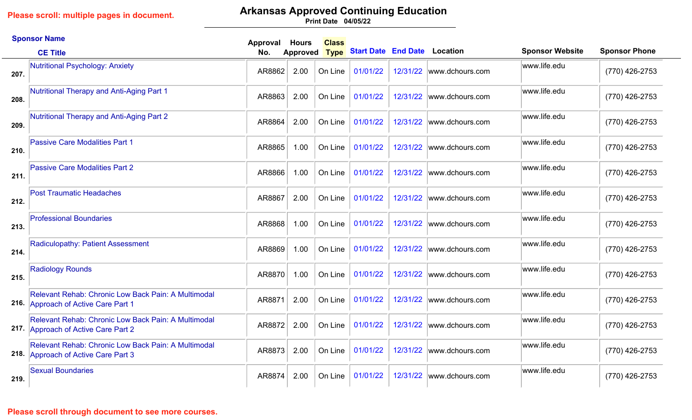# **Arkansas Approved Continuing Education**

**04/05/22 Print Date**

|      | <b>Sponsor Name</b>                                                                               | Approval | <b>Hours</b>    | <b>Class</b> |                                     |          |                          |                        |                      |
|------|---------------------------------------------------------------------------------------------------|----------|-----------------|--------------|-------------------------------------|----------|--------------------------|------------------------|----------------------|
|      | <b>CE Title</b>                                                                                   | No.      | <b>Approved</b> | <b>Type</b>  | <b>Start Date End Date Location</b> |          |                          | <b>Sponsor Website</b> | <b>Sponsor Phone</b> |
| 207. | Nutritional Psychology: Anxiety                                                                   | AR8862   | 2.00            | On Line      | 01/01/22                            | 12/31/22 | www.dchours.com          | www.life.edu           | (770) 426-2753       |
| 208. | <b>Nutritional Therapy and Anti-Aging Part 1</b>                                                  | AR8863   | 2.00            | On Line      | 01/01/22                            | 12/31/22 | www.dchours.com          | www.life.edu           | (770) 426-2753       |
| 209. | <b>Nutritional Therapy and Anti-Aging Part 2</b>                                                  | AR8864   | 2.00            | On Line      | 01/01/22                            | 12/31/22 | www.dchours.com          | www.life.edu           | (770) 426-2753       |
| 210. | <b>Passive Care Modalities Part 1</b>                                                             | AR8865   | 1.00            | On Line      | 01/01/22                            |          | 12/31/22 www.dchours.com | www.life.edu           | (770) 426-2753       |
| 211. | <b>Passive Care Modalities Part 2</b>                                                             | AR8866   | 1.00            | On Line      | 01/01/22                            | 12/31/22 | www.dchours.com          | www.life.edu           | (770) 426-2753       |
| 212. | <b>Post Traumatic Headaches</b>                                                                   | AR8867   | 2.00            | On Line      | 01/01/22                            | 12/31/22 | www.dchours.com          | www.life.edu           | (770) 426-2753       |
| 213. | <b>Professional Boundaries</b>                                                                    | AR8868   | 1.00            | On Line      | 01/01/22                            | 12/31/22 | www.dchours.com          | www.life.edu           | (770) 426-2753       |
| 214. | Radiculopathy: Patient Assessment                                                                 | AR8869   | 1.00            | On Line      | 01/01/22                            |          | 12/31/22 www.dchours.com | www.life.edu           | (770) 426-2753       |
| 215. | <b>Radiology Rounds</b>                                                                           | AR8870   | 1.00            | On Line      | 01/01/22                            | 12/31/22 | www.dchours.com          | www.life.edu           | (770) 426-2753       |
|      | Relevant Rehab: Chronic Low Back Pain: A Multimodal<br>216. Approach of Active Care Part 1        | AR8871   | 2.00            | On Line      | 01/01/22                            | 12/31/22 | www.dchours.com          | www.life.edu           | $(770)$ 426-2753     |
|      | Relevant Rehab: Chronic Low Back Pain: A Multimodal<br>217. Approach of Active Care Part 2        | AR8872   | 2.00            | On Line      | 01/01/22                            | 12/31/22 | www.dchours.com          | www.life.edu           | (770) 426-2753       |
|      | <b>Relevant Rehab: Chronic Low Back Pain: A Multimodal</b><br>218. Approach of Active Care Part 3 | AR8873   | 2.00            | On Line      | 01/01/22                            | 12/31/22 | www.dchours.com          | www.life.edu           | (770) 426-2753       |
| 219. | <b>Sexual Boundaries</b>                                                                          | AR8874   | 2.00            | On Line      | 01/01/22                            |          | 12/31/22 www.dchours.com | www.life.edu           | (770) 426-2753       |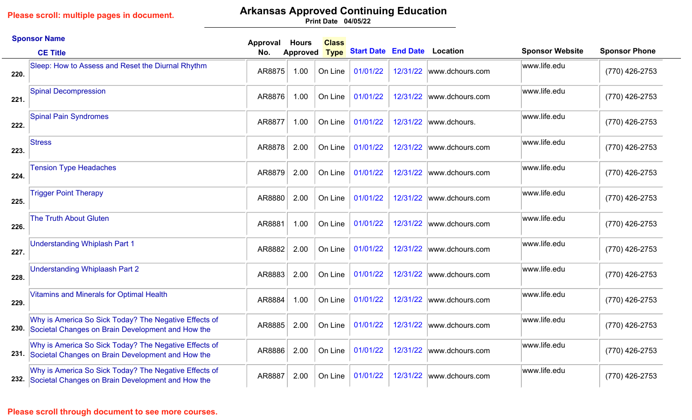## **Arkansas Approved Continuing Education**

**04/05/22 Print Date**

|      | <b>Sponsor Name</b>                                                                                             | Approval | <b>Hours</b>    | <b>Class</b> |                                     |          |                          |                        |                      |
|------|-----------------------------------------------------------------------------------------------------------------|----------|-----------------|--------------|-------------------------------------|----------|--------------------------|------------------------|----------------------|
|      | <b>CE Title</b>                                                                                                 | No.      | <b>Approved</b> | <b>Type</b>  | <b>Start Date End Date Location</b> |          |                          | <b>Sponsor Website</b> | <b>Sponsor Phone</b> |
| 220. | Sleep: How to Assess and Reset the Diurnal Rhythm                                                               | AR8875   | 1.00            | On Line      | 01/01/22                            |          | 12/31/22 www.dchours.com | www.life.edu           | (770) 426-2753       |
| 221. | <b>Spinal Decompression</b>                                                                                     | AR8876   | 1.00            | On Line      | 01/01/22                            |          | 12/31/22 www.dchours.com | www.life.edu           | (770) 426-2753       |
| 222. | <b>Spinal Pain Syndromes</b>                                                                                    | AR8877   | 1.00            | On Line      | 01/01/22                            | 12/31/22 | www.dchours.             | www.life.edu           | (770) 426-2753       |
| 223. | <b>Stress</b>                                                                                                   | AR8878   | 2.00            | On Line      | 01/01/22                            | 12/31/22 | www.dchours.com          | www.life.edu           | (770) 426-2753       |
| 224. | <b>Tension Type Headaches</b>                                                                                   | AR8879   | 2.00            | On Line      | 01/01/22                            | 12/31/22 | www.dchours.com          | www.life.edu           | (770) 426-2753       |
| 225. | <b>Trigger Point Therapy</b>                                                                                    | AR8880   | 2.00            | On Line      | 01/01/22                            | 12/31/22 | www.dchours.com          | www.life.edu           | (770) 426-2753       |
| 226. | <b>The Truth About Gluten</b>                                                                                   | AR8881   | 1.00            | On Line      | 01/01/22                            | 12/31/22 | www.dchours.com          | www.life.edu           | (770) 426-2753       |
| 227. | <b>Understanding Whiplash Part 1</b>                                                                            | AR8882   | 2.00            | On Line      | 01/01/22                            | 12/31/22 | www.dchours.com          | www.life.edu           | (770) 426-2753       |
| 228. | <b>Understanding Whiplaash Part 2</b>                                                                           | AR8883   | 2.00            | On Line      | 01/01/22                            | 12/31/22 | www.dchours.com          | www.life.edu           | (770) 426-2753       |
| 229. | <b>Vitamins and Minerals for Optimal Health</b>                                                                 | AR8884   | 1.00            | On Line      | 01/01/22                            |          | 12/31/22 www.dchours.com | www.life.edu           | (770) 426-2753       |
| 230. | Why is America So Sick Today? The Negative Effects of<br>Societal Changes on Brain Development and How the      | AR8885   | 2.00            | On Line      | 01/01/22                            | 12/31/22 | www.dchours.com          | www.life.edu           | (770) 426-2753       |
|      | Why is America So Sick Today? The Negative Effects of<br>231. Societal Changes on Brain Development and How the | AR8886   | 2.00            | On Line      | 01/01/22                            | 12/31/22 | www.dchours.com          | www.life.edu           | (770) 426-2753       |
|      | Why is America So Sick Today? The Negative Effects of<br>232. Societal Changes on Brain Development and How the | AR8887   | 2.00            | On Line      | 01/01/22                            |          | 12/31/22 www.dchours.com | www.life.edu           | (770) 426-2753       |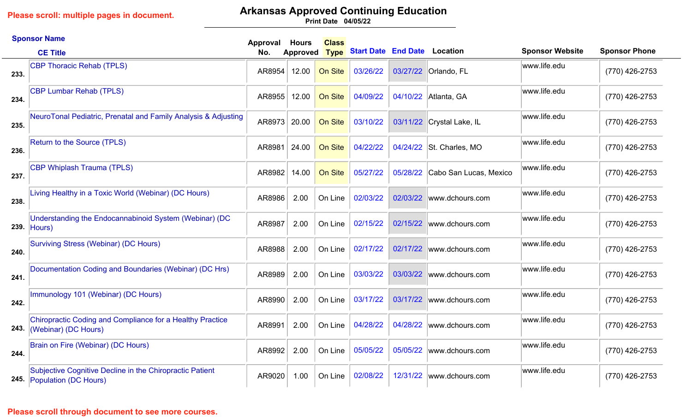# **Arkansas Approved Continuing Education**

**04/05/22 Print Date**

|      | <b>Sponsor Name</b>                                                                    | Approval | <b>Hours</b>    | <b>Class</b> |                                     |          |                           |                        |                      |
|------|----------------------------------------------------------------------------------------|----------|-----------------|--------------|-------------------------------------|----------|---------------------------|------------------------|----------------------|
|      | <b>CE Title</b>                                                                        | No.      | <b>Approved</b> | <b>Type</b>  | <b>Start Date End Date Location</b> |          |                           | <b>Sponsor Website</b> | <b>Sponsor Phone</b> |
| 233. | <b>CBP Thoracic Rehab (TPLS)</b>                                                       | AR8954   | 12.00           | On Site      | 03/26/22                            |          | 03/27/22 Orlando, FL      | www.life.edu           | (770) 426-2753       |
| 234. | <b>CBP Lumbar Rehab (TPLS)</b>                                                         | AR8955   | 12.00           | On Site      | 04/09/22                            | 04/10/22 | Atlanta, GA               | www.life.edu           | (770) 426-2753       |
| 235. | NeuroTonal Pediatric, Prenatal and Family Analysis & Adjusting                         | AR8973   | 20.00           | On Site      | 03/10/22                            |          | 03/11/22 Crystal Lake, IL | www.life.edu           | (770) 426-2753       |
| 236. | <b>Return to the Source (TPLS)</b>                                                     | AR8981   | 24.00           | On Site      | 04/22/22                            |          | 04/24/22 St. Charles, MO  | www.life.edu           | (770) 426-2753       |
| 237. | <b>CBP Whiplash Trauma (TPLS)</b>                                                      | AR8982   | 14.00           | On Site      | 05/27/22                            | 05/28/22 | Cabo San Lucas, Mexico    | www.life.edu           | (770) 426-2753       |
| 238. | Living Healthy in a Toxic World (Webinar) (DC Hours)                                   | AR8986   | 2.00            | On Line      | 02/03/22                            | 02/03/22 | www.dchours.com           | www.life.edu           | (770) 426-2753       |
| 239. | Understanding the Endocannabinoid System (Webinar) (DC<br>$ $ Hours $ $                | AR8987   | 2.00            | On Line      | 02/15/22                            | 02/15/22 | www.dchours.com           | www.life.edu           | (770) 426-2753       |
| 240. | Surviving Stress (Webinar) (DC Hours)                                                  | AR8988   | 2.00            | On Line      | 02/17/22                            | 02/17/22 | www.dchours.com           | www.life.edu           | (770) 426-2753       |
| 241. | Documentation Coding and Boundaries (Webinar) (DC Hrs)                                 | AR8989   | 2.00            | On Line      | 03/03/22                            | 03/03/22 | www.dchours.com           | www.life.edu           | (770) 426-2753       |
| 242. | Immunology 101 (Webinar) (DC Hours)                                                    | AR8990   | 2.00            | On Line      | 03/17/22                            | 03/17/22 | www.dchours.com           | www.life.edu           | (770) 426-2753       |
| 243. | Chiropractic Coding and Compliance for a Healthy Practice<br>(Webinar) (DC Hours)      | AR8991   | 2.00            | On Line      | 04/28/22                            | 04/28/22 | www.dchours.com           | www.life.edu           | (770) 426-2753       |
| 244. | Brain on Fire (Webinar) (DC Hours)                                                     | AR8992   | 2.00            | On Line      | 05/05/22                            | 05/05/22 | www.dchours.com           | www.life.edu           | (770) 426-2753       |
|      | Subjective Cognitive Decline in the Chiropractic Patient<br>245. Population (DC Hours) | AR9020   | 1.00            | On Line      | 02/08/22                            | 12/31/22 | www.dchours.com           | www.life.edu           | (770) 426-2753       |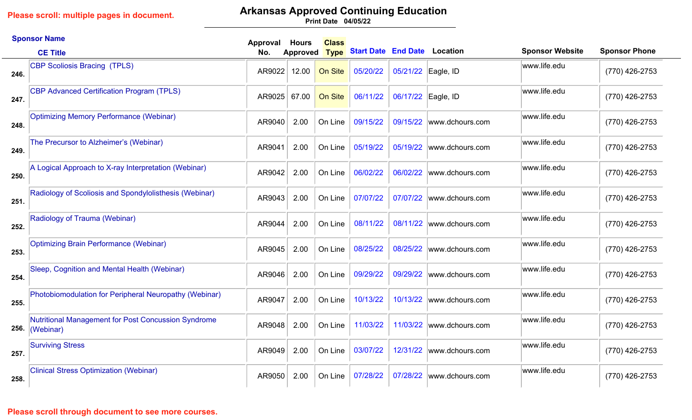# **Arkansas Approved Continuing Education**

**04/05/22 Print Date**

|      | <b>Sponsor Name</b>                                              | <b>Approval</b> | <b>Hours</b>    | <b>Class</b> |                                     |                    |                          |                        |                      |
|------|------------------------------------------------------------------|-----------------|-----------------|--------------|-------------------------------------|--------------------|--------------------------|------------------------|----------------------|
|      | <b>CE Title</b>                                                  | No.             | <b>Approved</b> | <b>Type</b>  | <b>Start Date End Date Location</b> |                    |                          | <b>Sponsor Website</b> | <b>Sponsor Phone</b> |
| 246. | <b>CBP Scoliosis Bracing (TPLS)</b>                              | AR9022          | 12.00           | On Site      | 05/20/22                            | 05/21/22 Eagle, ID |                          | www.life.edu           | (770) 426-2753       |
| 247. | <b>CBP Advanced Certification Program (TPLS)</b>                 | AR9025          | 67.00           | On Site      | 06/11/22                            | 06/17/22 Eagle, ID |                          | www.life.edu           | (770) 426-2753       |
| 248. | <b>Optimizing Memory Performance (Webinar)</b>                   | AR9040          | 2.00            | On Line      | 09/15/22                            | 09/15/22           | www.dchours.com          | www.life.edu           | (770) 426-2753       |
| 249. | The Precursor to Alzheimer's (Webinar)                           | AR9041          | 2.00            | On Line      | 05/19/22                            |                    | 05/19/22 www.dchours.com | www.life.edu           | (770) 426-2753       |
| 250. | A Logical Approach to X-ray Interpretation (Webinar)             | AR9042          | 2.00            | On Line      | 06/02/22                            | 06/02/22           | www.dchours.com          | www.life.edu           | (770) 426-2753       |
| 251. | Radiology of Scoliosis and Spondylolisthesis (Webinar)           | AR9043          | 2.00            | On Line      | 07/07/22                            | 07/07/22           | www.dchours.com          | www.life.edu           | (770) 426-2753       |
| 252. | Radiology of Trauma (Webinar)                                    | AR9044          | 2.00            | On Line      | 08/11/22                            |                    | 08/11/22 www.dchours.com | www.life.edu           | (770) 426-2753       |
| 253. | <b>Optimizing Brain Performance (Webinar)</b>                    | AR9045          | 2.00            | On Line      | 08/25/22                            | 08/25/22           | www.dchours.com          | www.life.edu           | (770) 426-2753       |
| 254. | Sleep, Cognition and Mental Health (Webinar)                     | AR9046          | 2.00            | On Line      | 09/29/22                            | 09/29/22           | www.dchours.com          | www.life.edu           | (770) 426-2753       |
| 255. | Photobiomodulation for Peripheral Neuropathy (Webinar)           | AR9047          | 2.00            | On Line      | 10/13/22                            | 10/13/22           | www.dchours.com          | www.life.edu           | (770) 426-2753       |
| 256. | Nutritional Management for Post Concussion Syndrome<br>(Webinar) | AR9048          | 2.00            | On Line      | 11/03/22                            | 11/03/22           | www.dchours.com          | www.life.edu           | (770) 426-2753       |
| 257. | <b>Surviving Stress</b>                                          | AR9049          | 2.00            | On Line      | 03/07/22                            |                    | 12/31/22 www.dchours.com | www.life.edu           | (770) 426-2753       |
| 258. | <b>Clinical Stress Optimization (Webinar)</b>                    | AR9050          | 2.00            | On Line      | 07/28/22                            | 07/28/22           | www.dchours.com          | www.life.edu           | (770) 426-2753       |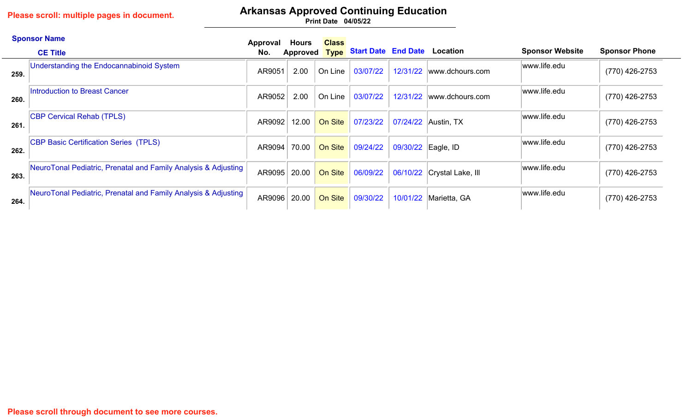# **Arkansas Approved Continuing Education**

|      | <b>Sponsor Name</b>                                            | Approval | Hours           | <b>Class</b> |                                          |                    |                            |                        |                      |
|------|----------------------------------------------------------------|----------|-----------------|--------------|------------------------------------------|--------------------|----------------------------|------------------------|----------------------|
|      | <b>CE Title</b>                                                | No.      | <b>Approved</b> |              | <b>Type Start Date End Date Location</b> |                    |                            | <b>Sponsor Website</b> | <b>Sponsor Phone</b> |
| 259. | Understanding the Endocannabinoid System                       | AR9051   | 2.00            | On Line      | 03/07/22                                 |                    | 12/31/22 www.dchours.com   | www.life.edu           | (770) 426-2753       |
| 260. | Introduction to Breast Cancer                                  | AR9052   | 2.00            | On Line      | 03/07/22                                 |                    | 12/31/22 www.dchours.com   | www.life.edu           | (770) 426-2753       |
| 261. | <b>CBP Cervical Rehab (TPLS)</b>                               | AR9092   | 12.00           | On Site      | 07/23/22                                 |                    | 07/24/22 Austin, TX        | www.life.edu           | (770) 426-2753       |
| 262. | CBP Basic Certification Series (TPLS)                          | AR9094   | 70.00           | On Site      | 09/24/22                                 | 09/30/22 Eagle, ID |                            | www.life.edu           | (770) 426-2753       |
| 263. | NeuroTonal Pediatric, Prenatal and Family Analysis & Adjusting | AR9095   | 20.00           | On Site      | 06/09/22                                 |                    | 06/10/22 Crystal Lake, Ill | www.life.edu           | (770) 426-2753       |
| 264. | NeuroTonal Pediatric, Prenatal and Family Analysis & Adjusting | AR9096   | 20.00           | On Site      | 09/30/22                                 |                    | 10/01/22 Marietta, GA      | www.life.edu           | (770) 426-2753       |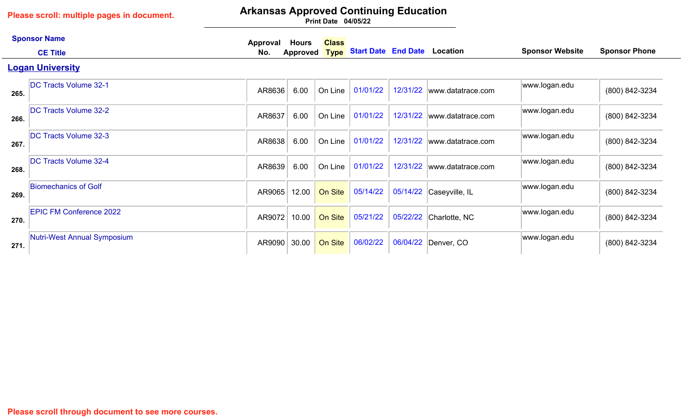# **Arkansas Approved Continuing Education**

|      | <b>Sponsor Name</b>                | Approval | <b>Hours</b> | <b>Class</b> |                                          |          |                   |                        |                      |
|------|------------------------------------|----------|--------------|--------------|------------------------------------------|----------|-------------------|------------------------|----------------------|
|      | <b>CE Title</b>                    | No.      | Approved     |              | <b>Type Start Date End Date Location</b> |          |                   | <b>Sponsor Website</b> | <b>Sponsor Phone</b> |
|      | <b>Logan University</b>            |          |              |              |                                          |          |                   |                        |                      |
| 265. | <b>DC Tracts Volume 32-1</b>       | AR8636   | 6.00         | On Line      | 01/01/22                                 | 12/31/22 | www.datatrace.com | www.logan.edu          | (800) 842-3234       |
| 266. | <b>DC Tracts Volume 32-2</b>       | AR8637   | 6.00         | On Line      | 01/01/22                                 | 12/31/22 | www.datatrace.com | www.logan.edu          | (800) 842-3234       |
| 267. | <b>DC Tracts Volume 32-3</b>       | AR8638   | 6.00         | On Line      | 01/01/22                                 | 12/31/22 | www.datatrace.com | www.logan.edu          | (800) 842-3234       |
| 268. | <b>DC Tracts Volume 32-4</b>       | AR8639   | 6.00         | On Line      | 01/01/22                                 | 12/31/22 | www.datatrace.com | www.logan.edu          | (800) 842-3234       |
| 269. | <b>Biomechanics of Golf</b>        | AR9065   | 12.00        | On Site      | 05/14/22                                 | 05/14/22 | Caseyville, IL    | www.logan.edu          | (800) 842-3234       |
| 270. | <b>EPIC FM Conference 2022</b>     | AR9072   | 10.00        | On Site      | 05/21/22                                 | 05/22/22 | Charlotte, NC     | www.logan.edu          | (800) 842-3234       |
| 271. | <b>Nutri-West Annual Symposium</b> | AR9090   | 30.00        | On Site      | 06/02/22                                 | 06/04/22 | Denver, CO        | www.logan.edu          | (800) 842-3234       |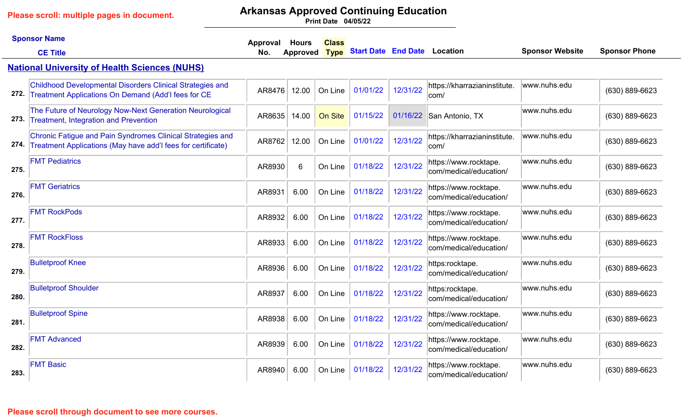# **Arkansas Approved Continuing Education**

|      | <b>Sponsor Name</b><br><b>CE Title</b>                                                                                     | Approval<br>No. | <b>Hours</b><br><b>Approved</b> | <b>Class</b><br><b>Type</b> | <b>Start Date End Date Location</b> |          |                                                 | <b>Sponsor Website</b> | <b>Sponsor Phone</b> |
|------|----------------------------------------------------------------------------------------------------------------------------|-----------------|---------------------------------|-----------------------------|-------------------------------------|----------|-------------------------------------------------|------------------------|----------------------|
|      | <b>National University of Health Sciences (NUHS)</b>                                                                       |                 |                                 |                             |                                     |          |                                                 |                        |                      |
| 272. | Childhood Developmental Disorders Clinical Strategies and<br>Treatment Applications On Demand (Add'I fees for CE           | AR8476          | 12.00                           | On Line                     | 01/01/22                            | 12/31/22 | https://kharrazianinstitute.<br>com/            | www.nuhs.edu           | (630) 889-6623       |
| 273. | The Future of Neurology Now-Next Generation Neurological<br><b>Treatment, Integration and Prevention</b>                   | AR8635          | 14.00                           | On Site                     | 01/15/22                            | 01/16/22 | San Antonio, TX                                 | www.nuhs.edu           | (630) 889-6623       |
| 274. | Chronic Fatigue and Pain Syndromes Clinical Strategies and<br>Treatment Applications (May have add'I fees for certificate) | AR8762          | 12.00                           | On Line                     | 01/01/22                            | 12/31/22 | https://kharrazianinstitute.<br>com/            | www.nuhs.edu           | (630) 889-6623       |
| 275. | <b>FMT Pediatrics</b>                                                                                                      | AR8930          | 6                               | On Line                     | 01/18/22                            | 12/31/22 | https://www.rocktape.<br>com/medical/education/ | www.nuhs.edu           | $(630) 889 - 6623$   |
| 276. | <b>FMT Geriatrics</b>                                                                                                      | AR8931          | 6.00                            | On Line                     | 01/18/22                            | 12/31/22 | https://www.rocktape.<br>com/medical/education/ | www.nuhs.edu           | $(630) 889 - 6623$   |
| 277. | <b>FMT RockPods</b>                                                                                                        | AR8932          | 6.00                            | On Line                     | 01/18/22                            | 12/31/22 | https://www.rocktape.<br>com/medical/education/ | www.nuhs.edu           | (630) 889-6623       |
| 278. | <b>FMT RockFloss</b>                                                                                                       | AR8933          | 6.00                            | On Line                     | 01/18/22                            | 12/31/22 | https://www.rocktape.<br>com/medical/education/ | www.nuhs.edu           | (630) 889-6623       |
| 279. | <b>Bulletproof Knee</b>                                                                                                    | AR8936          | 6.00                            | On Line                     | 01/18/22                            | 12/31/22 | https:rocktape.<br>com/medical/education/       | www.nuhs.edu           | $(630) 889 - 6623$   |
| 280. | <b>Bulletproof Shoulder</b>                                                                                                | AR8937          | 6.00                            | On Line                     | 01/18/22                            | 12/31/22 | https:rocktape.<br>com/medical/education/       | www.nuhs.edu           | $(630) 889 - 6623$   |
| 281. | <b>Bulletproof Spine</b>                                                                                                   | AR8938          | 6.00                            | On Line                     | 01/18/22                            | 12/31/22 | https://www.rocktape.<br>com/medical/education/ | www.nuhs.edu           | (630) 889-6623       |
| 282. | <b>FMT Advanced</b>                                                                                                        | AR8939          | 6.00                            | On Line                     | 01/18/22                            | 12/31/22 | https://www.rocktape.<br>com/medical/education/ | www.nuhs.edu           | (630) 889-6623       |
| 283. | <b>FMT Basic</b>                                                                                                           | AR8940          | 6.00                            | On Line                     | 01/18/22                            | 12/31/22 | https://www.rocktape.<br>com/medical/education/ | www.nuhs.edu           | (630) 889-6623       |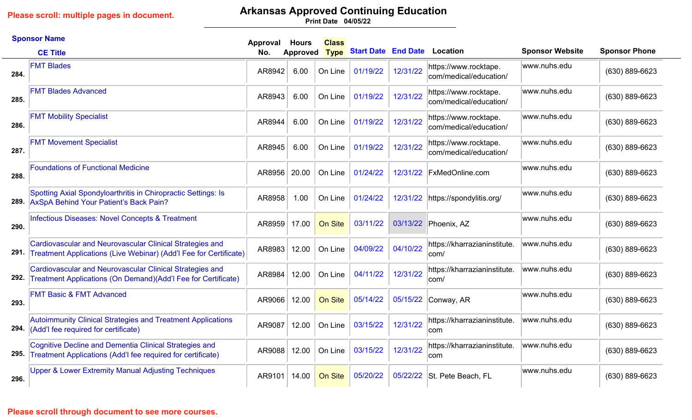# **Arkansas Approved Continuing Education**

**04/05/22 Print Date**

|      | <b>Sponsor Name</b>                                                                                                                | Approval | <b>Hours</b>    | <b>Class</b> |                            |          |                                                 |                        |                      |
|------|------------------------------------------------------------------------------------------------------------------------------------|----------|-----------------|--------------|----------------------------|----------|-------------------------------------------------|------------------------|----------------------|
|      | <b>CE Title</b>                                                                                                                    | No.      | <b>Approved</b> | <b>Type</b>  | <b>Start Date End Date</b> |          | Location                                        | <b>Sponsor Website</b> | <b>Sponsor Phone</b> |
| 284. | <b>FMT Blades</b>                                                                                                                  | AR8942   | 6.00            | On Line      | 01/19/22                   | 12/31/22 | https://www.rocktape.<br>com/medical/education/ | www.nuhs.edu           | (630) 889-6623       |
| 285. | <b>FMT Blades Advanced</b>                                                                                                         | AR8943   | 6.00            | On Line      | 01/19/22                   | 12/31/22 | https://www.rocktape.<br>com/medical/education/ | www.nuhs.edu           | (630) 889-6623       |
| 286. | <b>FMT Mobility Specialist</b>                                                                                                     | AR8944   | 6.00            | On Line      | 01/19/22                   | 12/31/22 | https://www.rocktape.<br>com/medical/education/ | www.nuhs.edu           | (630) 889-6623       |
| 287. | <b>FMT Movement Specialist</b>                                                                                                     | AR8945   | 6.00            | On Line      | 01/19/22                   | 12/31/22 | https://www.rocktape.<br>com/medical/education/ | www.nuhs.edu           | (630) 889-6623       |
| 288. | <b>Foundations of Functional Medicine</b>                                                                                          | AR8956   | 20.00           | On Line      | 01/24/22                   | 12/31/22 | <b>FxMedOnline.com</b>                          | www.nuhs.edu           | (630) 889-6623       |
| 289. | Spotting Axial Spondyloarthritis in Chiropractic Settings: Is<br>AxSpA Behind Your Patient's Back Pain?                            | AR8958   | 1.00            | On Line      | 01/24/22                   | 12/31/22 | https://spondylitis.org/                        | www.nuhs.edu           | (630) 889-6623       |
| 290. | Infectious Diseases: Novel Concepts & Treatment                                                                                    | AR8959   | 17.00           | On Site      | 03/11/22                   | 03/13/22 | Phoenix, AZ                                     | www.nuhs.edu           | (630) 889-6623       |
|      | Cardiovascular and Neurovascular Clinical Strategies and<br>291. Treatment Applications (Live Webinar) (Add'l Fee for Certificate) | AR8983   | 12.00           | On Line      | 04/09/22                   | 04/10/22 | https://kharrazianinstitute.<br>com/            | www.nuhs.edu           | (630) 889-6623       |
| 292. | Cardiovascular and Neurovascular Clinical Strategies and<br>Treatment Applications (On Demand) (Add'l Fee for Certificate)         | AR8984   | 12.00           | On Line      | 04/11/22                   | 12/31/22 | https://kharrazianinstitute.<br>com/            | www.nuhs.edu           | (630) 889-6623       |
| 293. | <b>FMT Basic &amp; FMT Advanced</b>                                                                                                | AR9066   | 12.00           | On Site      | 05/14/22                   | 05/15/22 | Conway, AR                                      | www.nuhs.edu           | (630) 889-6623       |
| 294. | <b>Autoimmunity Clinical Strategies and Treatment Applications</b><br>(Add'I fee required for certificate)                         | AR9087   | 12.00           | On Line      | 03/15/22                   | 12/31/22 | https://kharrazianinstitute.<br>com             | www.nuhs.edu           | (630) 889-6623       |
| 295. | Cognitive Decline and Dementia Clinical Strategies and<br>Treatment Applications (Add'I fee required for certificate)              | AR9088   | 12.00           | On Line      | 03/15/22                   | 12/31/22 | https://kharrazianinstitute.<br>com             | www.nuhs.edu           | (630) 889-6623       |
| 296. | Upper & Lower Extremity Manual Adjusting Techniques                                                                                | AR9101   | 14.00           | On Site      | 05/20/22                   | 05/22/22 | St. Pete Beach, FL                              | www.nuhs.edu           | (630) 889-6623       |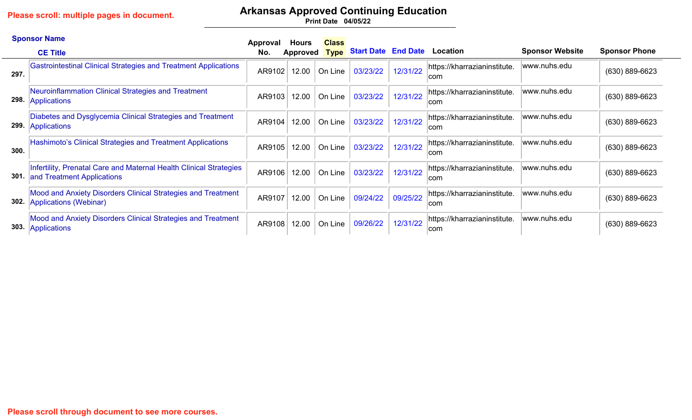# **Arkansas Approved Continuing Education**

|      | <b>Sponsor Name</b>                                                                              | Approval | Hours    | <b>Class</b> |                                     |          |                                            |                        |                      |
|------|--------------------------------------------------------------------------------------------------|----------|----------|--------------|-------------------------------------|----------|--------------------------------------------|------------------------|----------------------|
|      | <b>CE Title</b>                                                                                  | No.      | Approved | <b>Type</b>  | <b>Start Date End Date Location</b> |          |                                            | <b>Sponsor Website</b> | <b>Sponsor Phone</b> |
| 297  | Gastrointestinal Clinical Strategies and Treatment Applications                                  | AR9102   | 12.00    | On Line      | 03/23/22                            | 12/31/22 | https://kharrazianinstitute.<br>∣com       | www.nuhs.edu           | $(630) 889 - 6623$   |
| 298. | Neuroinflammation Clinical Strategies and Treatment<br>Applications                              | AR9103   | 12.00    | On Line      | 03/23/22                            | 12/31/22 | https://kharrazianinstitute.<br><b>com</b> | www.nuhs.edu           | $(630) 889 - 6623$   |
| 299. | Diabetes and Dysglycemia Clinical Strategies and Treatment<br>Applications                       | AR9104   | 12.00    | On Line      | 03/23/22                            | 12/31/22 | https://kharrazianinstitute.<br>∣com       | www.nuhs.edu           | $(630) 889 - 6623$   |
| 300. | Hashimoto's Clinical Strategies and Treatment Applications                                       | AR9105   | 12.00    | On Line      | 03/23/22                            | 12/31/22 | https://kharrazianinstitute.<br><b>com</b> | www.nuhs.edu           | $(630) 889 - 6623$   |
| 301. | Infertility, Prenatal Care and Maternal Health Clinical Strategies<br>and Treatment Applications | AR9106   | 12.00    | On Line      | 03/23/22                            | 12/31/22 | https://kharrazianinstitute.<br><b>com</b> | www.nuhs.edu           | $(630) 889 - 6623$   |
| 302. | Mood and Anxiety Disorders Clinical Strategies and Treatment<br>Applications (Webinar)           | AR9107   | 12.00    | On Line      | 09/24/22                            | 09/25/22 | https://kharrazianinstitute.<br><b>com</b> | www.nuhs.edu           | $(630) 889 - 6623$   |
| 303. | Mood and Anxiety Disorders Clinical Strategies and Treatment<br>Applications                     | AR9108   | 12.00    | On Line      | 09/26/22                            | 12/31/22 | https://kharrazianinstitute.<br><b>com</b> | www.nuhs.edu           | $(630) 889 - 6623$   |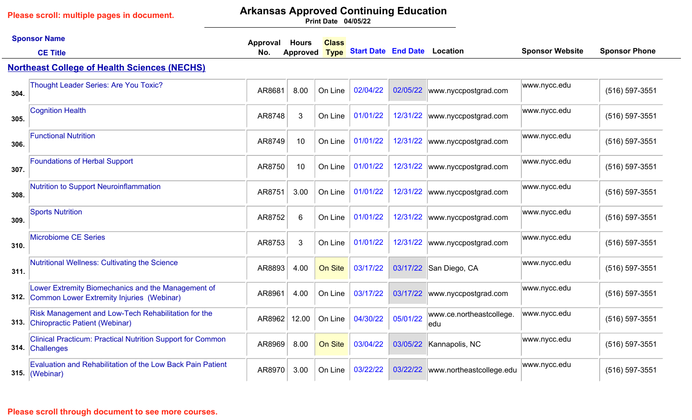# **Arkansas Approved Continuing Education**

**04/05/22 Print Date**

|      | <b>Sponsor Name</b>                                                                             | Approval | <b>Hours</b>    | <b>Class</b> |                                     |          |                                   |                        |                      |
|------|-------------------------------------------------------------------------------------------------|----------|-----------------|--------------|-------------------------------------|----------|-----------------------------------|------------------------|----------------------|
|      | <b>CE Title</b>                                                                                 | No.      | <b>Approved</b> | <b>Type</b>  | <b>Start Date End Date Location</b> |          |                                   | <b>Sponsor Website</b> | <b>Sponsor Phone</b> |
|      | <b>Northeast College of Health Sciences (NECHS)</b>                                             |          |                 |              |                                     |          |                                   |                        |                      |
| 304. | <b>Thought Leader Series: Are You Toxic?</b>                                                    | AR8681   | 8.00            | On Line      | 02/04/22                            | 02/05/22 | www.nyccpostgrad.com              | www.nycc.edu           | (516) 597-3551       |
| 305. | <b>Cognition Health</b>                                                                         | AR8748   | 3               | On Line      | 01/01/22                            | 12/31/22 | www.nyccpostgrad.com              | www.nycc.edu           | (516) 597-3551       |
| 306. | <b>Functional Nutrition</b>                                                                     | AR8749   | 10              | On Line      | 01/01/22                            | 12/31/22 | www.nyccpostgrad.com              | www.nycc.edu           | (516) 597-3551       |
| 307. | <b>Foundations of Herbal Support</b>                                                            | AR8750   | 10              | On Line      | 01/01/22                            | 12/31/22 | www.nyccpostgrad.com              | www.nycc.edu           | (516) 597-3551       |
| 308. | <b>Nutrition to Support Neuroinflammation</b>                                                   | AR8751   | 3.00            | On Line      | 01/01/22                            | 12/31/22 | www.nyccpostgrad.com              | www.nycc.edu           | (516) 597-3551       |
| 309. | <b>Sports Nutrition</b>                                                                         | AR8752   | 6               | On Line      | 01/01/22                            | 12/31/22 | www.nyccpostgrad.com              | www.nycc.edu           | (516) 597-3551       |
| 310. | <b>Microbiome CE Series</b>                                                                     | AR8753   | 3               | On Line      | 01/01/22                            | 12/31/22 | www.nyccpostgrad.com              | www.nycc.edu           | (516) 597-3551       |
| 311. | Nutritional Wellness: Cultivating the Science                                                   | AR8893   | 4.00            | On Site      | 03/17/22                            | 03/17/22 | San Diego, CA                     | www.nycc.edu           | (516) 597-3551       |
| 312. | Lower Extremity Biomechanics and the Management of<br>Common Lower Extremity Injuries (Webinar) | AR8961   | 4.00            | On Line      | 03/17/22                            | 03/17/22 | www.nyccpostgrad.com              | www.nycc.edu           | (516) 597-3551       |
|      | Risk Management and Low-Tech Rehabilitation for the<br>313. Chiropractic Patient (Webinar)      | AR8962   | 12.00           | On Line      | 04/30/22                            | 05/01/22 | www.ce.northeastcollege.<br>ledu  | www.nycc.edu           | (516) 597-3551       |
| 314. | <b>Clinical Practicum: Practical Nutrition Support for Common</b><br>Challenges                 | AR8969   | 8.00            | On Site      | 03/04/22                            | 03/05/22 | Kannapolis, NC                    | www.nycc.edu           | (516) 597-3551       |
|      | <b>Evaluation and Rehabilitation of the Low Back Pain Patient</b><br>315. (Webinar)             | AR8970   | 3.00            | On Line      | 03/22/22                            |          | 03/22/22 www.northeastcollege.edu | www.nycc.edu           | (516) 597-3551       |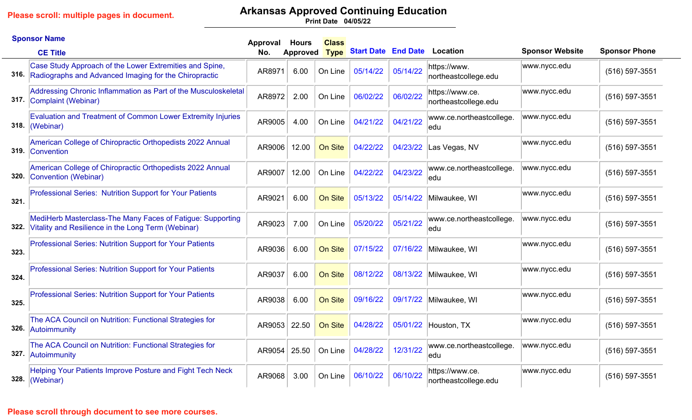# **Arkansas Approved Continuing Education**

**04/05/22 Print Date**

|      | <b>Sponsor Name</b>                                                                                                   | Approval | <b>Hours</b> | <b>Class</b>   |                                     |          |                                         |                        |                      |
|------|-----------------------------------------------------------------------------------------------------------------------|----------|--------------|----------------|-------------------------------------|----------|-----------------------------------------|------------------------|----------------------|
|      | <b>CE Title</b>                                                                                                       | No.      | Approved     | <b>Type</b>    | <b>Start Date End Date Location</b> |          |                                         | <b>Sponsor Website</b> | <b>Sponsor Phone</b> |
|      | Case Study Approach of the Lower Extremities and Spine,<br>316. Radiographs and Advanced Imaging for the Chiropractic | AR8971   | 6.00         | On Line        | 05/14/22                            | 05/14/22 | https://www.<br>northeastcollege.edu    | www.nycc.edu           | (516) 597-3551       |
|      | Addressing Chronic Inflammation as Part of the Musculoskeletal<br>317. Complaint (Webinar)                            | AR8972   | 2.00         | On Line        | 06/02/22                            | 06/02/22 | https://www.ce.<br>northeastcollege.edu | www.nycc.edu/          | (516) 597-3551       |
| 318. | <b>Evaluation and Treatment of Common Lower Extremity Injuries</b><br>(Webinar)                                       | AR9005   | 4.00         | On Line        | 04/21/22                            | 04/21/22 | www.ce.northeastcollege.<br>ledu        | www.nycc.edu           | (516) 597-3551       |
|      | American College of Chiropractic Orthopedists 2022 Annual<br>319. Convention                                          | AR9006   | 12.00        | On Site        | 04/22/22                            | 04/23/22 | Las Vegas, NV                           | www.nycc.edu           | (516) 597-3551       |
| 320. | American College of Chiropractic Orthopedists 2022 Annual<br>Convention (Webinar)                                     | AR9007   | 12.00        | On Line        | 04/22/22                            | 04/23/22 | www.ce.northeastcollege.<br>ledu        | www.nycc.edu           | (516) 597-3551       |
| 321. | Professional Series: Nutrition Support for Your Patients                                                              | AR9021   | 6.00         | On Site        | 05/13/22                            | 05/14/22 | Milwaukee, WI                           | www.nycc.edu/          | (516) 597-3551       |
| 322. | MediHerb Masterclass-The Many Faces of Fatigue: Supporting<br>Vitality and Resilience in the Long Term (Webinar)      | AR9023   | 7.00         | On Line        | 05/20/22                            | 05/21/22 | www.ce.northeastcollege.<br>ledu        | www.nycc.edu           | (516) 597-3551       |
| 323. | <b>Professional Series: Nutrition Support for Your Patients</b>                                                       | AR9036   | 6.00         | On Site        | 07/15/22                            |          | 07/16/22 Milwaukee, WI                  | www.nycc.edu           | (516) 597-3551       |
| 324. | <b>Professional Series: Nutrition Support for Your Patients</b>                                                       | AR9037   | 6.00         | <b>On Site</b> | 08/12/22                            |          | 08/13/22 Milwaukee, WI                  | www.nycc.edu/          | (516) 597-3551       |
| 325. | <b>Professional Series: Nutrition Support for Your Patients</b>                                                       | AR9038   | 6.00         | On Site        | 09/16/22                            |          | 09/17/22 Milwaukee, WI                  | www.nycc.edu/          | (516) 597-3551       |
|      | The ACA Council on Nutrition: Functional Strategies for<br>326. Autoimmunity                                          | AR9053   | 22.50        | On Site        | 04/28/22                            | 05/01/22 | Houston, TX                             | www.nycc.edu           | (516) 597-3551       |
| 327. | The ACA Council on Nutrition: Functional Strategies for<br>Autoimmunity                                               | AR9054   | 25.50        | On Line        | 04/28/22                            | 12/31/22 | www.ce.northeastcollege.<br>ledu        | www.nycc.edu           | (516) 597-3551       |
| 328. | Helping Your Patients Improve Posture and Fight Tech Neck<br>(Webinar)                                                | AR9068   | 3.00         | On Line        | 06/10/22                            | 06/10/22 | https://www.ce.<br>northeastcollege.edu | www.nycc.edu           | (516) 597-3551       |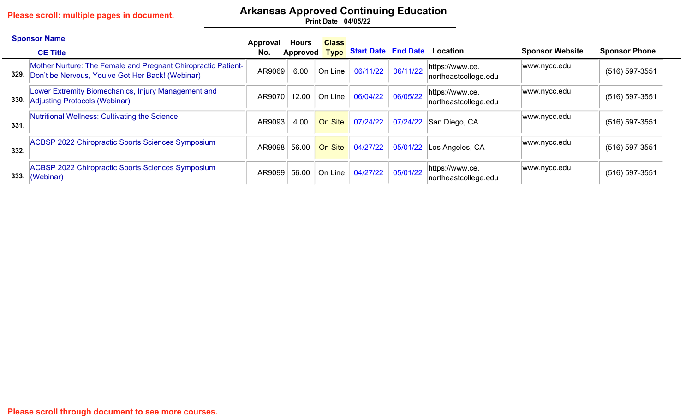# **Arkansas Approved Continuing Education**

|      | <b>Sponsor Name</b><br><b>CE Title</b>                                                                            | Approval<br>No. | Hours | <b>Class</b> |          |          | Approved Type Start Date End Date Location | <b>Sponsor Website</b> | <b>Sponsor Phone</b> |
|------|-------------------------------------------------------------------------------------------------------------------|-----------------|-------|--------------|----------|----------|--------------------------------------------|------------------------|----------------------|
| 329. | Mother Nurture: The Female and Pregnant Chiropractic Patient-<br>Don't be Nervous, You've Got Her Back! (Webinar) | AR9069          | 6.00  | On Line      | 06/11/22 | 06/11/22 | https://www.ce.<br>northeastcollege.edu    | www.nycc.edu           | $(516)$ 597-3551     |
| 330. | Lower Extremity Biomechanics, Injury Management and<br><b>Adjusting Protocols (Webinar)</b>                       | AR9070          | 12.00 | On Line      | 06/04/22 | 06/05/22 | https://www.ce.<br>northeastcollege.edu    | www.nycc.edu           | $(516)$ 597-3551     |
| 331. | Nutritional Wellness: Cultivating the Science                                                                     | AR9093          | 4.00  | On Site      | 07/24/22 |          | 07/24/22 San Diego, CA                     | www.nycc.edu           | $(516)$ 597-3551     |
| 332. | <b>ACBSP 2022 Chiropractic Sports Sciences Symposium</b>                                                          | AR9098          | 56.00 | On Site      | 04/27/22 |          | $05/01/22$ Los Angeles, CA                 | www.nycc.edu           | $(516)$ 597-3551     |
| 333. | <b>ACBSP 2022 Chiropractic Sports Sciences Symposium</b><br>(We <i>binar</i> )                                    | AR9099          | 56.00 | On Line      | 04/27/22 | 05/01/22 | https://www.ce.<br>northeastcollege.edu    | www.nycc.edu           | $(516) 597 - 3551$   |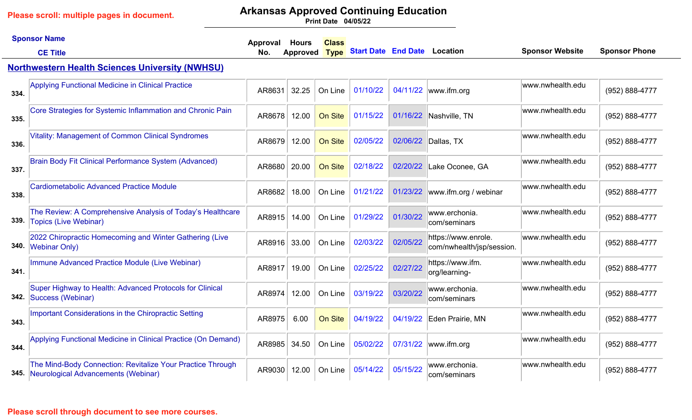## **Arkansas Approved Continuing Education**

**04/05/22 Print Date**

|      | <b>Sponsor Name</b><br><b>CE Title</b>                                                                 | Approval<br>No. | <b>Hours</b><br>Approved | <b>Class</b><br><b>Type</b> | <b>Start Date End Date Location</b> |          |                                                  | <b>Sponsor Website</b> | <b>Sponsor Phone</b> |
|------|--------------------------------------------------------------------------------------------------------|-----------------|--------------------------|-----------------------------|-------------------------------------|----------|--------------------------------------------------|------------------------|----------------------|
|      | <b>Northwestern Health Sciences University (NWHSU)</b>                                                 |                 |                          |                             |                                     |          |                                                  |                        |                      |
| 334. | <b>Applying Functional Medicine in Clinical Practice</b>                                               | AR8631          | 32.25                    | On Line                     | 01/10/22                            |          | 04/11/22  www.ifm.org                            | www.nwhealth.edu       | (952) 888-4777       |
| 335. | Core Strategies for Systemic Inflammation and Chronic Pain                                             | AR8678          | 12.00                    | On Site                     | 01/15/22                            | 01/16/22 | Nashville, TN                                    | www.nwhealth.edu       | (952) 888-4777       |
| 336. | <b>Vitality: Management of Common Clinical Syndromes</b>                                               | AR8679          | 12.00                    | On Site                     | 02/05/22                            | 02/06/22 | Dallas, TX                                       | www.nwhealth.edu       | (952) 888-4777       |
| 337. | <b>Brain Body Fit Clinical Performance System (Advanced)</b>                                           | AR8680          | 20.00                    | <b>On Site</b>              | 02/18/22                            | 02/20/22 | Lake Oconee, GA                                  | www.nwhealth.edu       | (952) 888-4777       |
| 338. | <b>Cardiometabolic Advanced Practice Module</b>                                                        | AR8682          | 18.00                    | On Line                     | 01/21/22                            | 01/23/22 | www.ifm.org / webinar                            | www.nwhealth.edu       | (952) 888-4777       |
| 339. | The Review: A Comprehensive Analysis of Today's Healthcare<br><b>Topics (Live Webinar)</b>             | AR8915          | 14.00                    | On Line                     | 01/29/22                            | 01/30/22 | www.erchonia.<br>com/seminars                    | www.nwhealth.edu       | (952) 888-4777       |
|      | 2022 Chiropractic Homecoming and Winter Gathering (Live<br>340. Webinar Only)                          | AR8916          | 33.00                    | On Line                     | 02/03/22                            | 02/05/22 | https://www.enrole.<br>com/nwhealth/jsp/session. | www.nwhealth.edu       | (952) 888-4777       |
| 341. | Immune Advanced Practice Module (Live Webinar)                                                         | AR8917          | 19.00                    | On Line                     | 02/25/22                            | 02/27/22 | https://www.ifm.<br>org/learning-                | www.nwhealth.edu       | (952) 888-4777       |
| 342. | Super Highway to Health: Advanced Protocols for Clinical<br>Success (Webinar)                          | AR8974          | 12.00                    | On Line                     | 03/19/22                            | 03/20/22 | www.erchonia.<br>com/seminars                    | www.nwhealth.edu       | (952) 888-4777       |
| 343. | Important Considerations in the Chiropractic Setting                                                   | AR8975          | 6.00                     | On Site                     | 04/19/22                            | 04/19/22 | Eden Prairie, MN                                 | www.nwhealth.edu       | (952) 888-4777       |
| 344. | Applying Functional Medicine in Clinical Practice (On Demand)                                          | AR8985          | 34.50                    | On Line                     | 05/02/22                            | 07/31/22 | www.ifm.org                                      | www.nwhealth.edu       | (952) 888-4777       |
|      | The Mind-Body Connection: Revitalize Your Practice Through<br>345. Neurological Advancements (Webinar) | AR9030          | 12.00                    | On Line                     | 05/14/22                            | 05/15/22 | www.erchonia.<br>com/seminars                    | www.nwhealth.edu       | (952) 888-4777       |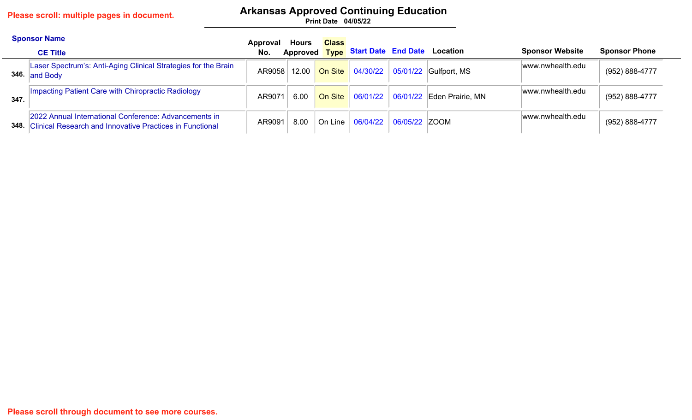# **Arkansas Approved Continuing Education**

|      | <b>Sponsor Name</b>                                                                                                      | Approval | <b>Hours</b> | <b>Class</b>                |                                            |               |                                       |                        |                      |
|------|--------------------------------------------------------------------------------------------------------------------------|----------|--------------|-----------------------------|--------------------------------------------|---------------|---------------------------------------|------------------------|----------------------|
|      | <b>CE Title</b>                                                                                                          | No.      |              |                             | Approved Type Start Date End Date Location |               |                                       | <b>Sponsor Website</b> | <b>Sponsor Phone</b> |
|      | Laser Spectrum's: Anti-Aging Clinical Strategies for the Brain<br>346. and Body                                          | AR9058   | 12.00        | On Site                     | 04/30/22                                   |               | $\vert$ 05/01/22 $\vert$ Gulfport, MS | www.nwhealth.edu       | (952) 888-4777       |
| 347. | Impacting Patient Care with Chiropractic Radiology                                                                       | AR9071   | 6.00         | On Site                     | 06/01/22                                   |               | $\vert$ 06/01/22 Eden Prairie, MN     | www.nwhealth.edu       | (952) 888-4777       |
| 348. | 2022 Annual International Conference: Advancements in<br><b>Clinical Research and Innovative Practices in Functional</b> | AR9091   | 8.00         | $\circ$ On Line $\parallel$ | 06/04/22                                   | 06/05/22 ZOOM |                                       | www.nwhealth.edu       | (952) 888-4777       |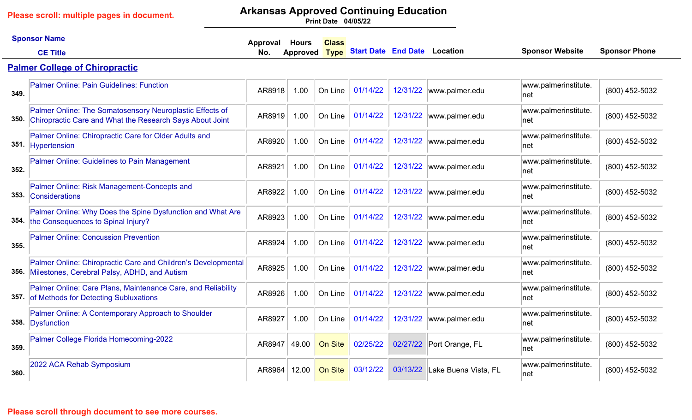# **Arkansas Approved Continuing Education**

|      | <b>Sponsor Name</b>                                                                                                       | Approval | <b>Hours</b>    | <b>Class</b> |                                     |          |                               |                              |                      |
|------|---------------------------------------------------------------------------------------------------------------------------|----------|-----------------|--------------|-------------------------------------|----------|-------------------------------|------------------------------|----------------------|
|      | <b>CE Title</b>                                                                                                           | No.      | <b>Approved</b> | <b>Type</b>  | <b>Start Date End Date Location</b> |          |                               | <b>Sponsor Website</b>       | <b>Sponsor Phone</b> |
|      | <b>Palmer College of Chiropractic</b>                                                                                     |          |                 |              |                                     |          |                               |                              |                      |
| 349. | Palmer Online: Pain Guidelines: Function                                                                                  | AR8918   | 1.00            | On Line      | 01/14/22                            | 12/31/22 | www.palmer.edu                | www.palmerinstitute.<br>net  | (800) 452-5032       |
|      | Palmer Online: The Somatosensory Neuroplastic Effects of<br>350. Chiropractic Care and What the Research Says About Joint | AR8919   | 1.00            | On Line      | 01/14/22                            |          | 12/31/22  www.palmer.edu      | www.palmerinstitute.<br>∣net | (800) 452-5032       |
|      | Palmer Online: Chiropractic Care for Older Adults and<br>351. Hypertension                                                | AR8920   | 1.00            | On Line      | 01/14/22                            | 12/31/22 | www.palmer.edu                | www.palmerinstitute.<br>net  | (800) 452-5032       |
| 352. | <b>Palmer Online: Guidelines to Pain Management</b>                                                                       | AR8921   | 1.00            | On Line      | 01/14/22                            | 12/31/22 | www.palmer.edu                | www.palmerinstitute.<br> net | (800) 452-5032       |
| 353. | Palmer Online: Risk Management-Concepts and<br>Considerations                                                             | AR8922   | 1.00            | On Line      | 01/14/22                            | 12/31/22 | www.palmer.edu                | www.palmerinstitute.<br>net  | (800) 452-5032       |
|      | Palmer Online: Why Does the Spine Dysfunction and What Are<br>354. the Consequences to Spinal Injury?                     | AR8923   | 1.00            | On Line      | 01/14/22                            | 12/31/22 | www.palmer.edu                | www.palmerinstitute.<br> net | (800) 452-5032       |
| 355. | <b>Palmer Online: Concussion Prevention</b>                                                                               | AR8924   | 1.00            | On Line      | 01/14/22                            | 12/31/22 | www.palmer.edu                | www.palmerinstitute.<br> net | (800) 452-5032       |
|      | Palmer Online: Chiropractic Care and Children's Developmental<br>356. Milestones, Cerebral Palsy, ADHD, and Autism        | AR8925   | 1.00            | On Line      | 01/14/22                            | 12/31/22 | www.palmer.edu                | www.palmerinstitute.<br> net | (800) 452-5032       |
|      | Palmer Online: Care Plans, Maintenance Care, and Reliability<br>357. of Methods for Detecting Subluxations                | AR8926   | 1.00            | On Line      | 01/14/22                            | 12/31/22 | www.palmer.edu                | www.palmerinstitute.<br> net | (800) 452-5032       |
|      | Palmer Online: A Contemporary Approach to Shoulder<br>358. Dysfunction                                                    | AR8927   | 1.00            | On Line      | 01/14/22                            | 12/31/22 | www.palmer.edu                | www.palmerinstitute.<br> net | (800) 452-5032       |
| 359. | Palmer College Florida Homecoming-2022                                                                                    | AR8947   | 49.00           | On Site      | 02/25/22                            |          | 02/27/22 Port Orange, FL      | www.palmerinstitute.<br> net | (800) 452-5032       |
| 360. | 2022 ACA Rehab Symposium                                                                                                  | AR8964   | 12.00           | On Site      | 03/12/22                            |          | 03/13/22 Lake Buena Vista, FL | www.palmerinstitute.<br>net  | (800) 452-5032       |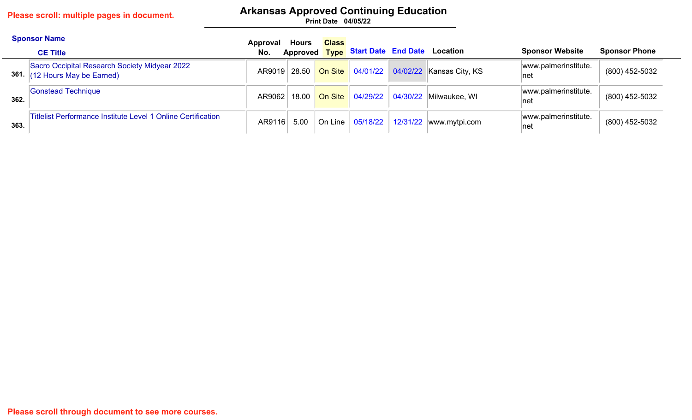# **Arkansas Approved Continuing Education**

|      | <b>Sponsor Name</b><br><b>CE Title</b>                                      | Approval<br>No. | Hours | <b>Class</b> | Approved Type Start Date End Date Location |                                                            | <b>Sponsor Website</b>       | <b>Sponsor Phone</b> |
|------|-----------------------------------------------------------------------------|-----------------|-------|--------------|--------------------------------------------|------------------------------------------------------------|------------------------------|----------------------|
| 361. | Sacro Occipital Research Society Midyear 2022<br>$(12$ Hours May be Earned) |                 |       |              |                                            | AR9019 28.50 On Site 04/01/22 04/02/22 Kansas City, KS     | www.palmerinstitute.<br>∣net | (800) 452-5032       |
| 362. | <b>Gonstead Technique</b>                                                   | AR9062          |       |              |                                            | 18.00 On Site 04/29/22 04/30/22 Milwaukee, WI              | www.palmerinstitute.<br>∣net | (800) 452-5032       |
| 363. | <b>Titlelist Performance Institute Level 1 Online Certification</b>         | AR9116          |       |              |                                            | 5.00   On Line $\vert$ 05/18/22   12/31/22   www.mytpi.com | www.palmerinstitute.<br>∣net | (800) 452-5032       |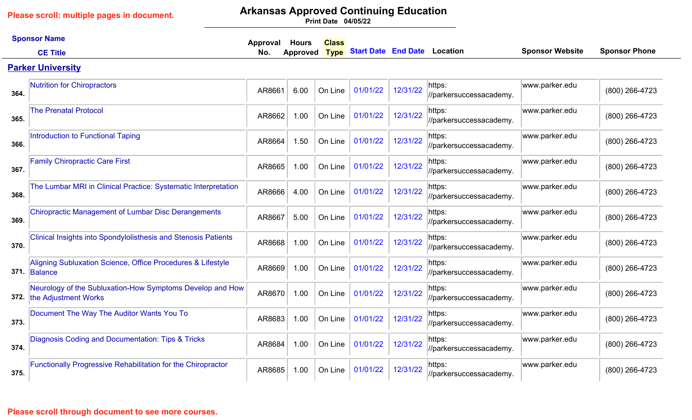# **Arkansas Approved Continuing Education**

**04/05/22 Print Date**

|      | <b>Sponsor Name</b>                                                               | <b>Approval</b> | <b>Hours</b> | <b>Class</b> |                                     |          |                                   |                        |                      |
|------|-----------------------------------------------------------------------------------|-----------------|--------------|--------------|-------------------------------------|----------|-----------------------------------|------------------------|----------------------|
|      | <b>CE Title</b>                                                                   | No.             | Approved     | <b>Type</b>  | <b>Start Date End Date Location</b> |          |                                   | <b>Sponsor Website</b> | <b>Sponsor Phone</b> |
|      | <b>Parker University</b>                                                          |                 |              |              |                                     |          |                                   |                        |                      |
| 364. | <b>Nutrition for Chiropractors</b>                                                | AR8661          | 6.00         | On Line      | 01/01/22                            | 12/31/22 | https:<br>//parkersuccessacademy. | www.parker.edu         | (800) 266-4723       |
| 365. | <b>The Prenatal Protocol</b>                                                      | AR8662          | 1.00         | On Line      | 01/01/22                            | 12/31/22 | https:<br>//parkersuccessacademy. | www.parker.edu         | (800) 266-4723       |
| 366. | Introduction to Functional Taping                                                 | AR8664          | 1.50         | On Line      | 01/01/22                            | 12/31/22 | https:<br>//parkersuccessacademy. | www.parker.edu         | (800) 266-4723       |
| 367. | <b>Family Chiropractic Care First</b>                                             | AR8665          | 1.00         | On Line      | 01/01/22                            | 12/31/22 | https:<br>//parkersuccessacademy. | www.parker.edu         | (800) 266-4723       |
| 368. | The Lumbar MRI in Clinical Practice: Systematic Interpretation                    | AR8666          | 4.00         | On Line      | 01/01/22                            | 12/31/22 | https:<br>//parkersuccessacademy. | www.parker.edu         | (800) 266-4723       |
| 369. | <b>Chiropractic Management of Lumbar Disc Derangements</b>                        | AR8667          | 5.00         | On Line      | 01/01/22                            | 12/31/22 | https:<br>//parkersuccessacademy. | www.parker.edu         | (800) 266-4723       |
| 370. | <b>Clinical Insights into Spondylolisthesis and Stenosis Patients</b>             | AR8668          | 1.00         | On Line      | 01/01/22                            | 12/31/22 | https:<br>//parkersuccessacademy. | www.parker.edu         | (800) 266-4723       |
|      | Aligning Subluxation Science, Office Procedures & Lifestyle<br>371. Balance       | AR8669          | 1.00         | On Line      | 01/01/22                            | 12/31/22 | https:<br>//parkersuccessacademy. | www.parker.edu         | (800) 266-4723       |
| 372. | Neurology of the Subluxation-How Symptoms Develop and How<br>the Adjustment Works | AR8670          | 1.00         | On Line      | 01/01/22                            | 12/31/22 | https:<br>//parkersuccessacademy. | www.parker.edu         | (800) 266-4723       |
| 373. | Document The Way The Auditor Wants You To                                         | AR8683          | 1.00         | On Line      | 01/01/22                            | 12/31/22 | https:<br>//parkersuccessacademy. | www.parker.edu         | (800) 266-4723       |
| 374. | Diagnosis Coding and Documentation: Tips & Tricks                                 | AR8684          | 1.00         | On Line      | 01/01/22                            | 12/31/22 | https:<br>//parkersuccessacademy. | www.parker.edu         | (800) 266-4723       |
| 375. | <b>Functionally Progressive Rehabilitation for the Chiropractor</b>               | AR8685          | 1.00         | On Line      | 01/01/22                            | 12/31/22 | https:<br>//parkersuccessacademy. | www.parker.edu         | (800) 266-4723       |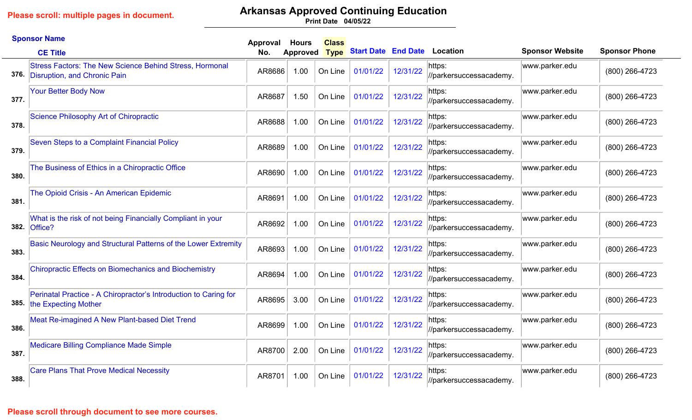# **Arkansas Approved Continuing Education**

|      | <b>Sponsor Name</b>                                                                            | Approval | <b>Hours</b>    | <b>Class</b> |                            |          |                                   |                        |                      |
|------|------------------------------------------------------------------------------------------------|----------|-----------------|--------------|----------------------------|----------|-----------------------------------|------------------------|----------------------|
|      | <b>CE Title</b>                                                                                | No.      | <b>Approved</b> | <b>Type</b>  | <b>Start Date End Date</b> |          | Location                          | <b>Sponsor Website</b> | <b>Sponsor Phone</b> |
| 376. | <b>Stress Factors: The New Science Behind Stress, Hormonal</b><br>Disruption, and Chronic Pain | AR8686   | 1.00            | On Line      | 01/01/22                   | 12/31/22 | https:<br>//parkersuccessacademy. | www.parker.edu         | (800) 266-4723       |
| 377. | <b>Your Better Body Now</b>                                                                    | AR8687   | 1.50            | On Line      | 01/01/22                   | 12/31/22 | https:<br>//parkersuccessacademy. | www.parker.edu         | (800) 266-4723       |
| 378. | Science Philosophy Art of Chiropractic                                                         | AR8688   | 1.00            | On Line      | 01/01/22                   | 12/31/22 | https:<br>//parkersuccessacademy. | www.parker.edu         | (800) 266-4723       |
| 379. | Seven Steps to a Complaint Financial Policy                                                    | AR8689   | 1.00            | On Line      | 01/01/22                   | 12/31/22 | https:<br>//parkersuccessacademy. | www.parker.edu         | (800) 266-4723       |
| 380. | The Business of Ethics in a Chiropractic Office                                                | AR8690   | 1.00            | On Line      | 01/01/22                   | 12/31/22 | https:<br>//parkersuccessacademy. | www.parker.edu         | (800) 266-4723       |
| 381. | The Opioid Crisis - An American Epidemic                                                       | AR8691   | 1.00            | On Line      | 01/01/22                   | 12/31/22 | https:<br>//parkersuccessacademy. | www.parker.edu         | (800) 266-4723       |
|      | What is the risk of not being Financially Compliant in your<br>382. Office?                    | AR8692   | 1.00            | On Line      | 01/01/22                   | 12/31/22 | https:<br>//parkersuccessacademy. | www.parker.edu         | (800) 266-4723       |
| 383. | Basic Neurology and Structural Patterns of the Lower Extremity                                 | AR8693   | 1.00            | On Line      | 01/01/22                   | 12/31/22 | https:<br>//parkersuccessacademy. | www.parker.edu         | (800) 266-4723       |
| 384. | <b>Chiropractic Effects on Biomechanics and Biochemistry</b>                                   | AR8694   | 1.00            | On Line      | 01/01/22                   | 12/31/22 | https:<br>//parkersuccessacademy. | www.parker.edu         | (800) 266-4723       |
|      | Perinatal Practice - A Chiropractor's Introduction to Caring for<br>385. the Expecting Mother  | AR8695   | 3.00            | On Line      | 01/01/22                   | 12/31/22 | https:<br>//parkersuccessacademy. | www.parker.edu         | (800) 266-4723       |
| 386. | Meat Re-imagined A New Plant-based Diet Trend                                                  | AR8699   | 1.00            | On Line      | 01/01/22                   | 12/31/22 | https:<br>//parkersuccessacademy. | www.parker.edu         | (800) 266-4723       |
| 387. | <b>Medicare Billing Compliance Made Simple</b>                                                 | AR8700   | 2.00            | On Line      | 01/01/22                   | 12/31/22 | https:<br>//parkersuccessacademy. | www.parker.edu         | (800) 266-4723       |
| 388. | <b>Care Plans That Prove Medical Necessity</b>                                                 | AR8701   | 1.00            | On Line      | 01/01/22                   | 12/31/22 | https:<br>//parkersuccessacademy. | www.parker.edu         | (800) 266-4723       |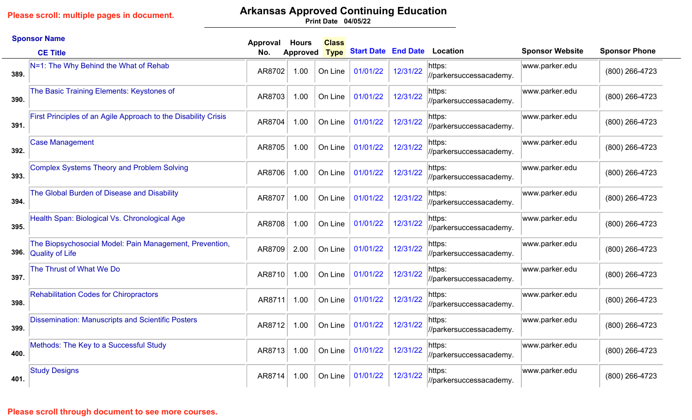# **Arkansas Approved Continuing Education**

**04/05/22 Print Date**

|      | <b>Sponsor Name</b>                                                               | Approval | <b>Hours</b>    | <b>Class</b> |                            |          |                                   |                        |                      |
|------|-----------------------------------------------------------------------------------|----------|-----------------|--------------|----------------------------|----------|-----------------------------------|------------------------|----------------------|
|      | <b>CE Title</b>                                                                   | No.      | <b>Approved</b> | <b>Type</b>  | <b>Start Date End Date</b> |          | <b>Location</b>                   | <b>Sponsor Website</b> | <b>Sponsor Phone</b> |
| 389. | N=1: The Why Behind the What of Rehab                                             | AR8702   | 1.00            | On Line      | 01/01/22                   | 12/31/22 | https:<br>//parkersuccessacademy. | www.parker.edu         | (800) 266-4723       |
| 390. | The Basic Training Elements: Keystones of                                         | AR8703   | 1.00            | On Line      | 01/01/22                   | 12/31/22 | https:<br>//parkersuccessacademy. | www.parker.edu         | (800) 266-4723       |
| 391. | First Principles of an Agile Approach to the Disability Crisis                    | AR8704   | 1.00            | On Line      | 01/01/22                   | 12/31/22 | https:<br>//parkersuccessacademy. | www.parker.edu         | (800) 266-4723       |
| 392. | <b>Case Management</b>                                                            | AR8705   | 1.00            | On Line      | 01/01/22                   | 12/31/22 | https:<br>//parkersuccessacademy. | www.parker.edu         | (800) 266-4723       |
| 393. | <b>Complex Systems Theory and Problem Solving</b>                                 | AR8706   | 1.00            | On Line      | 01/01/22                   | 12/31/22 | https:<br>//parkersuccessacademy. | www.parker.edu         | (800) 266-4723       |
| 394. | The Global Burden of Disease and Disability                                       | AR8707   | 1.00            | On Line      | 01/01/22                   | 12/31/22 | https:<br>//parkersuccessacademy. | www.parker.edu         | (800) 266-4723       |
| 395. | Health Span: Biological Vs. Chronological Age                                     | AR8708   | 1.00            | On Line      | 01/01/22                   | 12/31/22 | https:<br>//parkersuccessacademy. | www.parker.edu         | (800) 266-4723       |
| 396. | The Biopsychosocial Model: Pain Management, Prevention,<br><b>Quality of Life</b> | AR8709   | 2.00            | On Line      | 01/01/22                   | 12/31/22 | https:<br>//parkersuccessacademy. | www.parker.edu         | (800) 266-4723       |
| 397. | The Thrust of What We Do                                                          | AR8710   | 1.00            | On Line      | 01/01/22                   | 12/31/22 | https:<br>//parkersuccessacademy. | www.parker.edu         | (800) 266-4723       |
| 398. | <b>Rehabilitation Codes for Chiropractors</b>                                     | AR8711   | 1.00            | On Line      | 01/01/22                   | 12/31/22 | https:<br>//parkersuccessacademy. | www.parker.edu         | (800) 266-4723       |
| 399. | <b>Dissemination: Manuscripts and Scientific Posters</b>                          | AR8712   | 1.00            | On Line      | 01/01/22                   | 12/31/22 | https:<br>//parkersuccessacademy. | www.parker.edu         | (800) 266-4723       |
| 400. | Methods: The Key to a Successful Study                                            | AR8713   | 1.00            | On Line      | 01/01/22                   | 12/31/22 | https:<br>//parkersuccessacademy. | www.parker.edu         | (800) 266-4723       |
| 401. | <b>Study Designs</b>                                                              | AR8714   | 1.00            | On Line      | 01/01/22                   | 12/31/22 | https:<br>//parkersuccessacademy. | www.parker.edu         | (800) 266-4723       |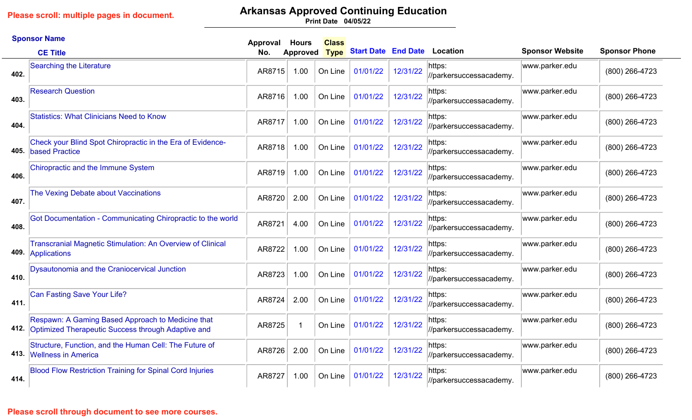# **Arkansas Approved Continuing Education**

**04/05/22 Print Date**

|      | <b>Sponsor Name</b>                                                                                     | Approval | <b>Hours</b>    | <b>Class</b> |                            |          |                                   |                        |                      |
|------|---------------------------------------------------------------------------------------------------------|----------|-----------------|--------------|----------------------------|----------|-----------------------------------|------------------------|----------------------|
|      | <b>CE Title</b>                                                                                         | No.      | <b>Approved</b> | <b>Type</b>  | <b>Start Date End Date</b> |          | <b>Location</b>                   | <b>Sponsor Website</b> | <b>Sponsor Phone</b> |
| 402. | <b>Searching the Literature</b>                                                                         | AR8715   | 1.00            | On Line      | 01/01/22                   | 12/31/22 | https:<br>//parkersuccessacademy. | www.parker.edu         | (800) 266-4723       |
| 403. | <b>Research Question</b>                                                                                | AR8716   | 1.00            | On Line      | 01/01/22                   | 12/31/22 | https:<br>//parkersuccessacademy. | www.parker.edu         | (800) 266-4723       |
| 404. | <b>Statistics: What Clinicians Need to Know</b>                                                         | AR8717   | 1.00            | On Line      | 01/01/22                   | 12/31/22 | https:<br>//parkersuccessacademy. | www.parker.edu         | (800) 266-4723       |
| 405. | Check your Blind Spot Chiropractic in the Era of Evidence-<br>based Practice                            | AR8718   | 1.00            | On Line      | 01/01/22                   | 12/31/22 | https:<br>//parkersuccessacademy. | www.parker.edu         | (800) 266-4723       |
| 406. | Chiropractic and the Immune System                                                                      | AR8719   | 1.00            | On Line      | 01/01/22                   | 12/31/22 | https:<br>//parkersuccessacademy. | www.parker.edu         | (800) 266-4723       |
| 407. | The Vexing Debate about Vaccinations                                                                    | AR8720   | 2.00            | On Line      | 01/01/22                   | 12/31/22 | https:<br>//parkersuccessacademy. | www.parker.edu         | (800) 266-4723       |
| 408. | Got Documentation - Communicating Chiropractic to the world                                             | AR8721   | 4.00            | On Line      | 01/01/22                   | 12/31/22 | https:<br>//parkersuccessacademy. | www.parker.edu         | (800) 266-4723       |
| 409. | <b>Transcranial Magnetic Stimulation: An Overview of Clinical</b><br>Applications                       | AR8722   | 1.00            | On Line      | 01/01/22                   | 12/31/22 | https:<br>//parkersuccessacademy. | www.parker.edu         | (800) 266-4723       |
| 410. | Dysautonomia and the Craniocervical Junction                                                            | AR8723   | 1.00            | On Line      | 01/01/22                   | 12/31/22 | https:<br>//parkersuccessacademy. | www.parker.edu         | (800) 266-4723       |
| 411. | <b>Can Fasting Save Your Life?</b>                                                                      | AR8724   | 2.00            | On Line      | 01/01/22                   | 12/31/22 | https:<br>//parkersuccessacademy. | www.parker.edu         | (800) 266-4723       |
| 412. | Respawn: A Gaming Based Approach to Medicine that<br>Optimized Therapeutic Success through Adaptive and | AR8725   | -1              | On Line      | 01/01/22                   | 12/31/22 | https:<br>//parkersuccessacademy. | www.parker.edu         | (800) 266-4723       |
| 413. | Structure, Function, and the Human Cell: The Future of<br><b>Wellness in America</b>                    | AR8726   | 2.00            | On Line      | 01/01/22                   | 12/31/22 | https:<br>//parkersuccessacademy. | www.parker.edu         | (800) 266-4723       |
| 414. | <b>Blood Flow Restriction Training for Spinal Cord Injuries</b>                                         | AR8727   | 1.00            | On Line      | 01/01/22                   | 12/31/22 | https:<br>//parkersuccessacademy. | www.parker.edu         | (800) 266-4723       |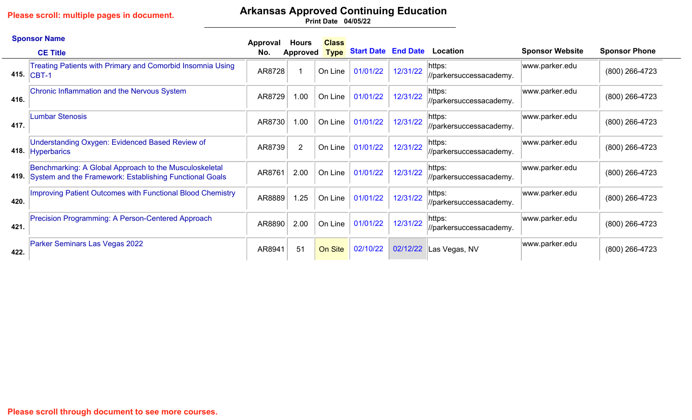# **Arkansas Approved Continuing Education**

|      | <b>Sponsor Name</b>                                                                                               | Approval | <b>Hours</b>   | <b>Class</b> |                                   |          |                                   |                        |                      |
|------|-------------------------------------------------------------------------------------------------------------------|----------|----------------|--------------|-----------------------------------|----------|-----------------------------------|------------------------|----------------------|
|      | <b>CE Title</b>                                                                                                   | No.      | Approved       |              | Type Start Date End Date Location |          |                                   | <b>Sponsor Website</b> | <b>Sponsor Phone</b> |
| 415. | Treating Patients with Primary and Comorbid Insomnia Using<br>$ CBT-1$                                            | AR8728   |                | On Line      | 01/01/22                          | 12/31/22 | https:<br>//parkersuccessacademy. | www.parker.edu         | (800) 266-4723       |
| 416. | Chronic Inflammation and the Nervous System                                                                       | AR8729   | 1.00           | On Line      | 01/01/22                          | 12/31/22 | https:<br>//parkersuccessacademy. | www.parker.edu         | (800) 266-4723       |
| 417. | <b>Lumbar Stenosis</b>                                                                                            | AR8730   | 1.00           | On Line      | 01/01/22                          | 12/31/22 | https:<br>//parkersuccessacademy. | www.parker.edu         | (800) 266-4723       |
| 418. | <b>Understanding Oxygen: Evidenced Based Review of</b><br><b>Hyperbarics</b>                                      | AR8739   | $\overline{2}$ | On Line      | 01/01/22                          | 12/31/22 | https:<br>//parkersuccessacademy. | www.parker.edu         | (800) 266-4723       |
| 419. | Benchmarking: A Global Approach to the Musculoskeletal<br>System and the Framework: Establishing Functional Goals | AR8761   | 2.00           | On Line      | 01/01/22                          | 12/31/22 | https:<br>//parkersuccessacademy. | www.parker.edu         | (800) 266-4723       |
| 420. | <b>Improving Patient Outcomes with Functional Blood Chemistry</b>                                                 | AR8889   | 1.25           | On Line      | 01/01/22                          | 12/31/22 | https:<br>//parkersuccessacademy. | www.parker.edu         | (800) 266-4723       |
| 421. | Precision Programming: A Person-Centered Approach                                                                 | AR8890   | 2.00           | On Line      | 01/01/22                          | 12/31/22 | https:<br>//parkersuccessacademy. | www.parker.edu         | (800) 266-4723       |
| 422. | Parker Seminars Las Vegas 2022                                                                                    | AR8941   | 51             | On Site      | 02/10/22                          | 02/12/22 | Las Vegas, NV                     | www.parker.edu         | $(800)$ 266-4723     |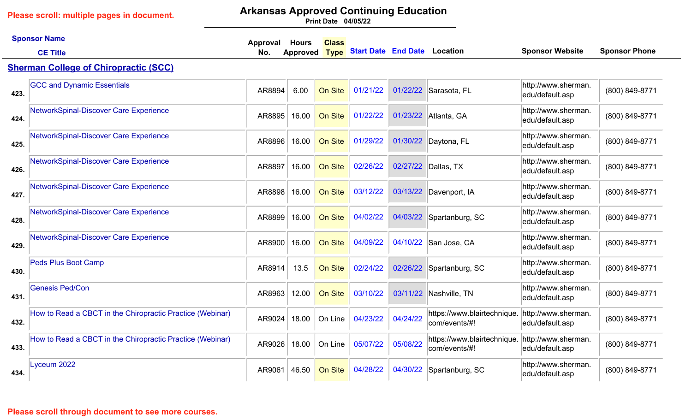## **Arkansas Approved Continuing Education**

**04/05/22 Print Date**

|      | <b>Sponsor Name</b>                                       | <b>Class</b><br>Approval<br><b>Hours</b> |                 |             |                                     |          |                                              |                                        |                      |
|------|-----------------------------------------------------------|------------------------------------------|-----------------|-------------|-------------------------------------|----------|----------------------------------------------|----------------------------------------|----------------------|
|      | <b>CE Title</b>                                           | No.                                      | <b>Approved</b> | <b>Type</b> | <b>Start Date End Date Location</b> |          |                                              | <b>Sponsor Website</b>                 | <b>Sponsor Phone</b> |
|      | <b>Sherman College of Chiropractic (SCC)</b>              |                                          |                 |             |                                     |          |                                              |                                        |                      |
| 423. | <b>GCC and Dynamic Essentials</b>                         | AR8894                                   | 6.00            | On Site     | 01/21/22                            |          | 01/22/22 Sarasota, FL                        | http://www.sherman.<br>edu/default.asp | (800) 849-8771       |
| 424. | NetworkSpinal-Discover Care Experience                    | AR8895                                   | 16.00           | On Site     | 01/22/22                            |          | 01/23/22 Atlanta, GA                         | http://www.sherman.<br>edu/default.asp | (800) 849-8771       |
| 425. | NetworkSpinal-Discover Care Experience                    | AR8896                                   | 16.00           | On Site     | 01/29/22                            | 01/30/22 | Daytona, FL                                  | http://www.sherman.<br>edu/default.asp | (800) 849-8771       |
| 426. | NetworkSpinal-Discover Care Experience                    | AR8897                                   | 16.00           | On Site     | 02/26/22                            | 02/27/22 | Dallas, TX                                   | http://www.sherman.<br>edu/default.asp | (800) 849-8771       |
| 427. | NetworkSpinal-Discover Care Experience                    | AR8898                                   | 16.00           | On Site     | 03/12/22                            | 03/13/22 | Davenport, IA                                | http://www.sherman.<br>edu/default.asp | (800) 849-8771       |
| 428. | NetworkSpinal-Discover Care Experience                    | AR8899                                   | 16.00           | On Site     | 04/02/22                            | 04/03/22 | Spartanburg, SC                              | http://www.sherman.<br>edu/default.asp | (800) 849-8771       |
| 429. | NetworkSpinal-Discover Care Experience                    | AR8900                                   | 16.00           | On Site     | 04/09/22                            | 04/10/22 | San Jose, CA                                 | http://www.sherman.<br>edu/default.asp | (800) 849-8771       |
| 430. | <b>Peds Plus Boot Camp</b>                                | AR8914                                   | 13.5            | On Site     | 02/24/22                            | 02/26/22 | Spartanburg, SC                              | http://www.sherman.<br>edu/default.asp | (800) 849-8771       |
| 431  | <b>Genesis Ped/Con</b>                                    | AR8963                                   | 12.00           | On Site     | 03/10/22                            | 03/11/22 | Nashville, TN                                | http://www.sherman.<br>edu/default.asp | (800) 849-8771       |
| 432. | How to Read a CBCT in the Chiropractic Practice (Webinar) | AR9024                                   | 18.00           | On Line     | 04/23/22                            | 04/24/22 | https://www.blairtechnique.<br>com/events/#! | http://www.sherman.<br>edu/default.asp | (800) 849-8771       |
| 433. | How to Read a CBCT in the Chiropractic Practice (Webinar) | AR9026                                   | 18.00           | On Line     | 05/07/22                            | 05/08/22 | https://www.blairtechnique.<br>com/events/#! | http://www.sherman.<br>edu/default.asp | (800) 849-8771       |
| 434. | Lyceum 2022                                               | AR9061                                   | 46.50           | On Site     | 04/28/22                            |          | 04/30/22 Spartanburg, SC                     | http://www.sherman.<br>edu/default.asp | (800) 849-8771       |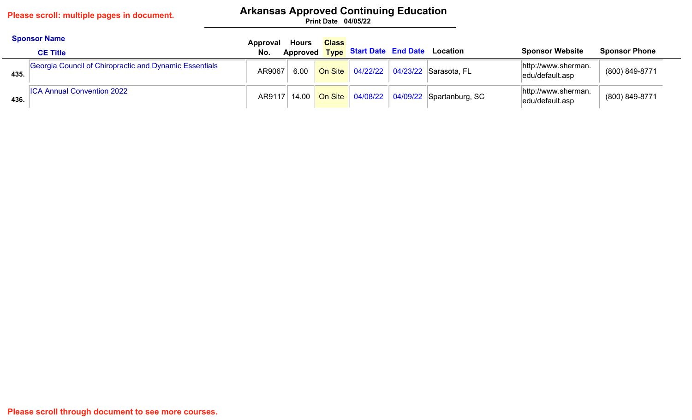# **Arkansas Approved Continuing Education**

|      | <b>Sponsor Name</b><br><b>CE Title</b>                 | Approval<br>No. | Hours | <b>Class</b> |  | Approved Type Start Date End Date Location             | <b>Sponsor Website</b>                 | <b>Sponsor Phone</b> |
|------|--------------------------------------------------------|-----------------|-------|--------------|--|--------------------------------------------------------|----------------------------------------|----------------------|
| 435. | Georgia Council of Chiropractic and Dynamic Essentials | AR9067          | 6.00  |              |  | On Site   04/22/22   04/23/22   Sarasota, FL           | http://www.sherman.<br>edu/default.asp | (800) 849-8771       |
| 436. | <b>ICA Annual Convention 2022</b>                      |                 |       |              |  | AR9117 14.00 On Site 04/08/22 04/09/22 Spartanburg, SC | http://www.sherman.<br>edu/default.asp | (800) 849-8771       |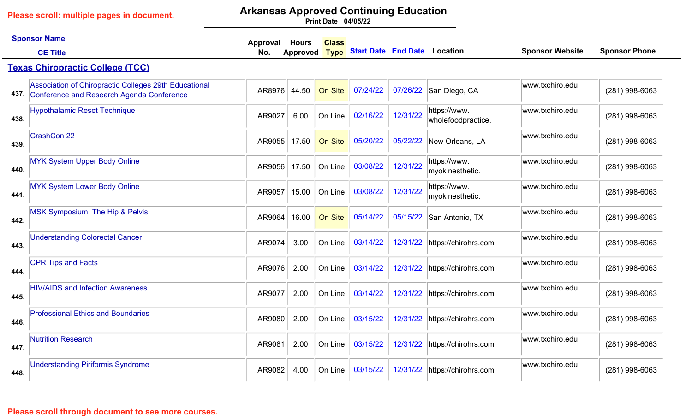# **Arkansas Approved Continuing Education**

|      | <b>Sponsor Name</b>                                                                                     | Approval | <b>Hours</b> | <b>Class</b> |                                     |          |                                    |                        |                      |
|------|---------------------------------------------------------------------------------------------------------|----------|--------------|--------------|-------------------------------------|----------|------------------------------------|------------------------|----------------------|
|      | <b>CE Title</b>                                                                                         | No.      | Approved     | <b>Type</b>  | <b>Start Date End Date Location</b> |          |                                    | <b>Sponsor Website</b> | <b>Sponsor Phone</b> |
|      | <b>Texas Chiropractic College (TCC)</b>                                                                 |          |              |              |                                     |          |                                    |                        |                      |
|      | Association of Chiropractic Colleges 29th Educational<br>437. Conference and Research Agenda Conference | AR8976   | 44.50        | On Site      | 07/24/22                            |          | 07/26/22 San Diego, CA             | www.txchiro.edu        | (281) 998-6063       |
| 438. | <b>Hypothalamic Reset Technique</b>                                                                     | AR9027   | 6.00         | On Line      | 02/16/22                            | 12/31/22 | https://www.<br>wholefoodpractice. | www.txchiro.edu        | (281) 998-6063       |
| 439. | <b>CrashCon 22</b>                                                                                      | AR9055   | 17.50        | On Site      | 05/20/22                            | 05/22/22 | New Orleans, LA                    | www.txchiro.edu        | (281) 998-6063       |
| 440. | <b>MYK System Upper Body Online</b>                                                                     | AR9056   | 17.50        | On Line      | 03/08/22                            | 12/31/22 | https://www.<br>myokinesthetic.    | www.txchiro.edu        | $(281)$ 998-6063     |
| 441. | <b>MYK System Lower Body Online</b>                                                                     | AR9057   | 15.00        | On Line      | 03/08/22                            | 12/31/22 | https://www.<br>myokinesthetic.    | www.txchiro.edu        | (281) 998-6063       |
| 442. | MSK Symposium: The Hip & Pelvis                                                                         | AR9064   | 16.00        | On Site      | 05/14/22                            | 05/15/22 | San Antonio, TX                    | www.txchiro.edu        | (281) 998-6063       |
| 443. | <b>Understanding Colorectal Cancer</b>                                                                  | AR9074   | 3.00         | On Line      | 03/14/22                            | 12/31/22 | https://chirohrs.com               | www.txchiro.edu        | (281) 998-6063       |
| 444. | <b>CPR Tips and Facts</b>                                                                               | AR9076   | 2.00         | On Line      | 03/14/22                            | 12/31/22 | https://chirohrs.com               | www.txchiro.edu        | $(281)$ 998-6063     |
| 445. | <b>HIV/AIDS and Infection Awareness</b>                                                                 | AR9077   | 2.00         | On Line      | 03/14/22                            |          | 12/31/22 https://chirohrs.com      | www.txchiro.edu        | (281) 998-6063       |
| 446. | <b>Professional Ethics and Boundaries</b>                                                               | AR9080   | 2.00         | On Line      | 03/15/22                            | 12/31/22 | https://chirohrs.com               | www.txchiro.edu        | (281) 998-6063       |
| 447. | <b>Nutrition Research</b>                                                                               | AR9081   | 2.00         | On Line      | 03/15/22                            |          | 12/31/22 https://chirohrs.com      | www.txchiro.edu        | (281) 998-6063       |
| 448. | <b>Understanding Piriformis Syndrome</b>                                                                | AR9082   | 4.00         | On Line      | 03/15/22                            | 12/31/22 | https://chirohrs.com               | www.txchiro.edu        | (281) 998-6063       |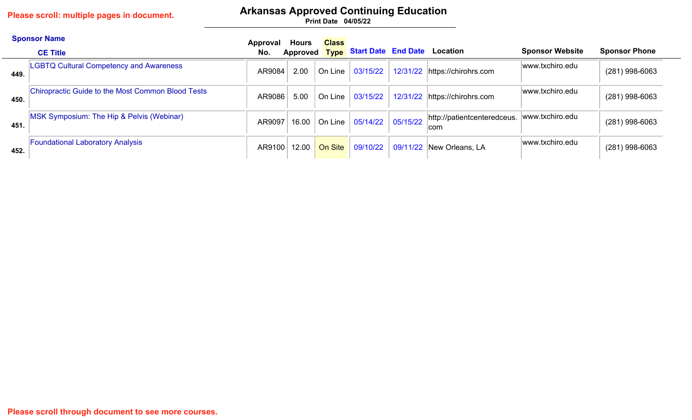## **Arkansas Approved Continuing Education**

|      | <b>Sponsor Name</b><br><b>CE Title</b>            | Approval<br>No. | Hours | <b>Class</b>                  | Approved Type Start Date End Date Location |                                     | <b>Sponsor Website</b> | <b>Sponsor Phone</b> |
|------|---------------------------------------------------|-----------------|-------|-------------------------------|--------------------------------------------|-------------------------------------|------------------------|----------------------|
| 449. | <b>LGBTQ Cultural Competency and Awareness</b>    | AR9084          | 2.00  | On Line                       | 03/15/22                                   | 12/31/22 https://chirohrs.com       | www.txchiro.edu        | $(281)$ 998-6063     |
| 450. | Chiropractic Guide to the Most Common Blood Tests | AR9086          | 5.00  | On Line                       | 03/15/22                                   | 12/31/22 https://chirohrs.com       | www.txchiro.edu        | $(281)$ 998-6063     |
| 451. | MSK Symposium: The Hip & Pelvis (Webinar)         | AR9097          |       | 16.00 $\vert$ On Line $\vert$ | $05/14/22$ 05/15/22                        | http://patientcenteredceus.<br>∣com | www.txchiro.edu        | $(281)$ 998-6063     |
| 452. | <b>Foundational Laboratory Analysis</b>           | AR9100          | 12.00 | On Site                       |                                            | 09/10/22 09/11/22 New Orleans, LA   | www.txchiro.edu        | $(281)$ 998-6063     |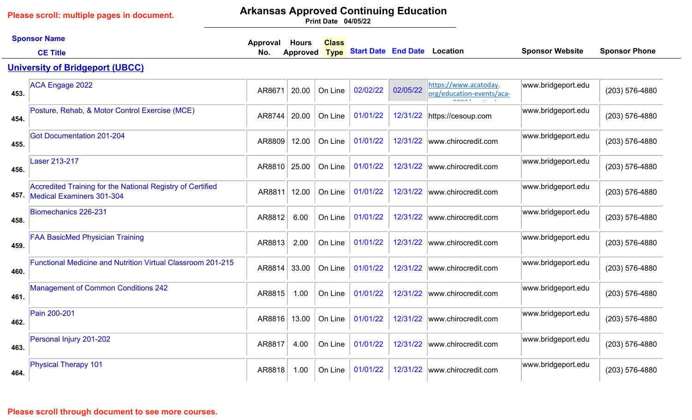# **Arkansas Approved Continuing Education**

**04/05/22 Print Date**

|      | <b>Sponsor Name</b>                                                                          | Approval | <b>Hours</b>    | <b>Class</b> |                                     |          |                                                                                                                |                        |                      |
|------|----------------------------------------------------------------------------------------------|----------|-----------------|--------------|-------------------------------------|----------|----------------------------------------------------------------------------------------------------------------|------------------------|----------------------|
|      | <b>CE Title</b>                                                                              | No.      | <b>Approved</b> | <b>Type</b>  | <b>Start Date End Date Location</b> |          |                                                                                                                | <b>Sponsor Website</b> | <b>Sponsor Phone</b> |
|      | <b>University of Bridgeport (UBCC)</b>                                                       |          |                 |              |                                     |          |                                                                                                                |                        |                      |
| 453. | <b>ACA Engage 2022</b>                                                                       | AR8671   | 20.00           | On Line      | 02/02/22                            | 02/05/22 | https://www.acatoday.<br>org/education-events/aca-<br>$\sim$ $\sim$ $\sim$ $\sim$<br>$\sim 10^{-10}$ m $^{-1}$ | www.bridgeport.edu     | (203) 576-4880       |
| 454. | Posture, Rehab, & Motor Control Exercise (MCE)                                               | AR8744   | 20.00           | On Line      | 01/01/22                            | 12/31/22 | https://cesoup.com                                                                                             | www.bridgeport.edu     | (203) 576-4880       |
| 455. | <b>Got Documentation 201-204</b>                                                             | AR8809   | 12.00           | On Line      | 01/01/22                            | 12/31/22 | www.chirocredit.com                                                                                            | www.bridgeport.edu     | (203) 576-4880       |
| 456. | Laser 213-217                                                                                | AR8810   | 25.00           | On Line      | 01/01/22                            | 12/31/22 | www.chirocredit.com                                                                                            | www.bridgeport.edu     | (203) 576-4880       |
|      | Accredited Training for the National Registry of Certified<br>457. Medical Examiners 301-304 | AR8811   | 12.00           | On Line      | 01/01/22                            | 12/31/22 | www.chirocredit.com                                                                                            | www.bridgeport.edu     | (203) 576-4880       |
| 458. | Biomechanics 226-231                                                                         | AR8812   | 6.00            | On Line      | 01/01/22                            | 12/31/22 | www.chirocredit.com                                                                                            | www.bridgeport.edu     | (203) 576-4880       |
| 459. | <b>FAA BasicMed Physician Training</b>                                                       | AR8813   | 2.00            | On Line      | 01/01/22                            | 12/31/22 | www.chirocredit.com                                                                                            | www.bridgeport.edu     | (203) 576-4880       |
| 460. | <b>Functional Medicine and Nutrition Virtual Classroom 201-215</b>                           | AR8814   | 33.00           | On Line      | 01/01/22                            | 12/31/22 | www.chirocredit.com                                                                                            | www.bridgeport.edu     | (203) 576-4880       |
| 461. | <b>Management of Common Conditions 242</b>                                                   | AR8815   | 1.00            | On Line      | 01/01/22                            | 12/31/22 | www.chirocredit.com                                                                                            | www.bridgeport.edu     | (203) 576-4880       |
| 462. | Pain 200-201                                                                                 | AR8816   | 13.00           | On Line      | 01/01/22                            | 12/31/22 | www.chirocredit.com                                                                                            | www.bridgeport.edu     | (203) 576-4880       |
| 463. | Personal Injury 201-202                                                                      | AR8817   | 4.00            | On Line      | 01/01/22                            | 12/31/22 | www.chirocredit.com                                                                                            | www.bridgeport.edu     | (203) 576-4880       |
| 464. | <b>Physical Therapy 101</b>                                                                  | AR8818   | 1.00            | On Line      | 01/01/22                            | 12/31/22 | www.chirocredit.com                                                                                            | www.bridgeport.edu     | (203) 576-4880       |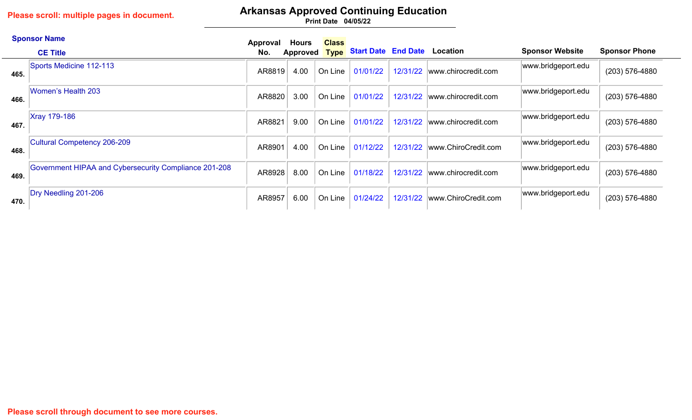# **Arkansas Approved Continuing Education**

|      | <b>Sponsor Name</b>                                   | Approval | Hours           | <b>Class</b> |                                          |          |                              |                        |                      |
|------|-------------------------------------------------------|----------|-----------------|--------------|------------------------------------------|----------|------------------------------|------------------------|----------------------|
|      | <b>CE Title</b>                                       | No.      | <b>Approved</b> |              | <b>Type Start Date End Date Location</b> |          |                              | <b>Sponsor Website</b> | <b>Sponsor Phone</b> |
| 465. | Sports Medicine 112-113                               | AR8819   | 4.00            | On Line      | 01/01/22                                 |          | 12/31/22 www.chirocredit.com | www.bridgeport.edu     | (203) 576-4880       |
| 466. | Women's Health 203                                    | AR8820   | 3.00            | On Line      | 01/01/22                                 | 12/31/22 | www.chirocredit.com          | www.bridgeport.edu     | (203) 576-4880       |
| 467  | <b>Xray 179-186</b>                                   | AR8821   | 9.00            | On Line      | 01/01/22                                 | 12/31/22 | www.chirocredit.com          | www.bridgeport.edu     | (203) 576-4880       |
| 468. | Cultural Competency 206-209                           | AR8901   | 4.00            | On Line      | 01/12/22                                 |          | 12/31/22 www.ChiroCredit.com | www.bridgeport.edu     | (203) 576-4880       |
| 469. | Government HIPAA and Cybersecurity Compliance 201-208 | AR8928   | 8.00            | On Line      | 01/18/22                                 |          | 12/31/22 www.chirocredit.com | www.bridgeport.edu     | (203) 576-4880       |
| 470. | Dry Needling 201-206                                  | AR8957   | 6.00            | On Line      | 01/24/22                                 | 12/31/22 | www.ChiroCredit.com          | www.bridgeport.edu     | (203) 576-4880       |